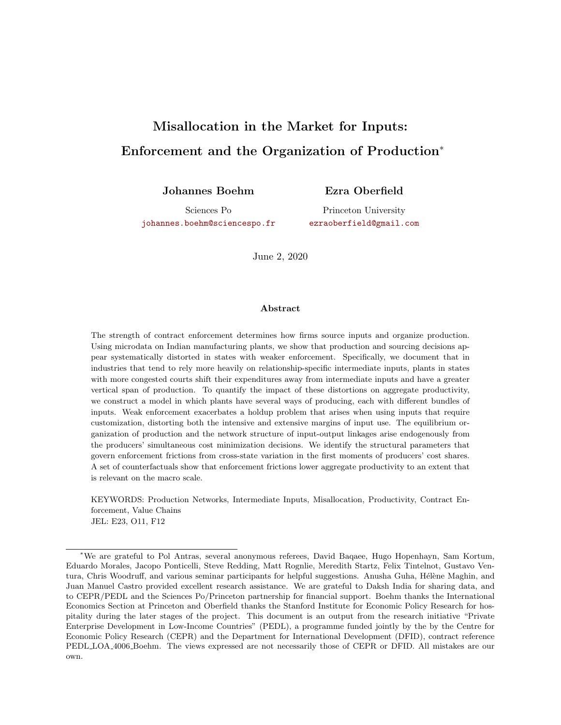# <span id="page-0-0"></span>Misallocation in the Market for Inputs: Enforcement and the Organization of Production<sup>∗</sup>

Johannes Boehm

Ezra Oberfield

Sciences Po [johannes.boehm@sciencespo.fr](mailto:johannes.boehm@sciencespo.fr)

Princeton University [ezraoberfield@gmail.com](mailto:ezraoberfield@gmail.com)

June 2, 2020

#### Abstract

The strength of contract enforcement determines how firms source inputs and organize production. Using microdata on Indian manufacturing plants, we show that production and sourcing decisions appear systematically distorted in states with weaker enforcement. Specifically, we document that in industries that tend to rely more heavily on relationship-specific intermediate inputs, plants in states with more congested courts shift their expenditures away from intermediate inputs and have a greater vertical span of production. To quantify the impact of these distortions on aggregate productivity, we construct a model in which plants have several ways of producing, each with different bundles of inputs. Weak enforcement exacerbates a holdup problem that arises when using inputs that require customization, distorting both the intensive and extensive margins of input use. The equilibrium organization of production and the network structure of input-output linkages arise endogenously from the producers' simultaneous cost minimization decisions. We identify the structural parameters that govern enforcement frictions from cross-state variation in the first moments of producers' cost shares. A set of counterfactuals show that enforcement frictions lower aggregate productivity to an extent that is relevant on the macro scale.

KEYWORDS: Production Networks, Intermediate Inputs, Misallocation, Productivity, Contract Enforcement, Value Chains JEL: E23, O11, F12

<sup>∗</sup>We are grateful to Pol Antras, several anonymous referees, David Baqaee, Hugo Hopenhayn, Sam Kortum, Eduardo Morales, Jacopo Ponticelli, Steve Redding, Matt Rognlie, Meredith Startz, Felix Tintelnot, Gustavo Ventura, Chris Woodruff, and various seminar participants for helpful suggestions. Anusha Guha, Hélène Maghin, and Juan Manuel Castro provided excellent research assistance. We are grateful to Daksh India for sharing data, and to CEPR/PEDL and the Sciences Po/Princeton partnership for financial support. Boehm thanks the International Economics Section at Princeton and Oberfield thanks the Stanford Institute for Economic Policy Research for hospitality during the later stages of the project. This document is an output from the research initiative "Private Enterprise Development in Low-Income Countries" (PEDL), a programme funded jointly by the by the Centre for Economic Policy Research (CEPR) and the Department for International Development (DFID), contract reference PEDL LOA 4006 Boehm. The views expressed are not necessarily those of CEPR or DFID. All mistakes are our own.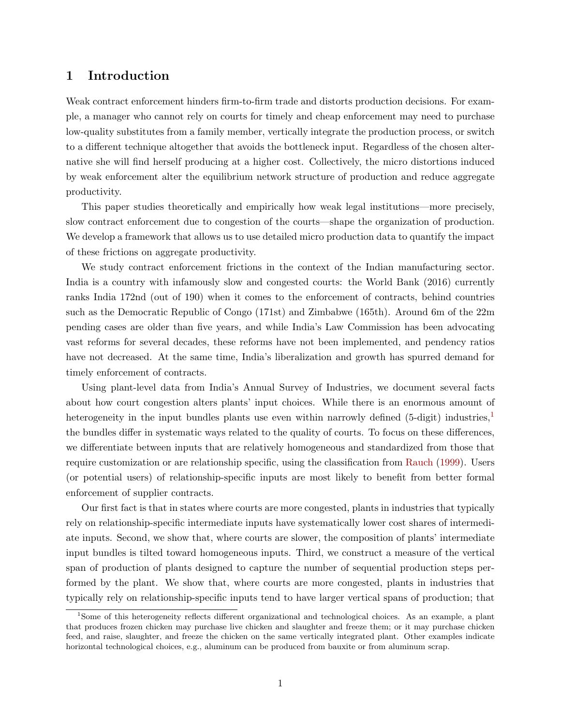# 1 Introduction

Weak contract enforcement hinders firm-to-firm trade and distorts production decisions. For example, a manager who cannot rely on courts for timely and cheap enforcement may need to purchase low-quality substitutes from a family member, vertically integrate the production process, or switch to a different technique altogether that avoids the bottleneck input. Regardless of the chosen alternative she will find herself producing at a higher cost. Collectively, the micro distortions induced by weak enforcement alter the equilibrium network structure of production and reduce aggregate productivity.

This paper studies theoretically and empirically how weak legal institutions—more precisely, slow contract enforcement due to congestion of the courts—shape the organization of production. We develop a framework that allows us to use detailed micro production data to quantify the impact of these frictions on aggregate productivity.

We study contract enforcement frictions in the context of the Indian manufacturing sector. India is a country with infamously slow and congested courts: the World Bank (2016) currently ranks India 172nd (out of 190) when it comes to the enforcement of contracts, behind countries such as the Democratic Republic of Congo (171st) and Zimbabwe (165th). Around 6m of the 22m pending cases are older than five years, and while India's Law Commission has been advocating vast reforms for several decades, these reforms have not been implemented, and pendency ratios have not decreased. At the same time, India's liberalization and growth has spurred demand for timely enforcement of contracts.

Using plant-level data from India's Annual Survey of Industries, we document several facts about how court congestion alters plants' input choices. While there is an enormous amount of heterogeneity in the input bundles plants use even within narrowly defined (5-digit) industries,<sup>[1](#page-1-0)</sup> the bundles differ in systematic ways related to the quality of courts. To focus on these differences, we differentiate between inputs that are relatively homogeneous and standardized from those that require customization or are relationship specific, using the classification from [Rauch](#page-38-0) [\(1999\)](#page-38-0). Users (or potential users) of relationship-specific inputs are most likely to benefit from better formal enforcement of supplier contracts.

Our first fact is that in states where courts are more congested, plants in industries that typically rely on relationship-specific intermediate inputs have systematically lower cost shares of intermediate inputs. Second, we show that, where courts are slower, the composition of plants' intermediate input bundles is tilted toward homogeneous inputs. Third, we construct a measure of the vertical span of production of plants designed to capture the number of sequential production steps performed by the plant. We show that, where courts are more congested, plants in industries that typically rely on relationship-specific inputs tend to have larger vertical spans of production; that

<span id="page-1-0"></span><sup>1</sup>Some of this heterogeneity reflects different organizational and technological choices. As an example, a plant that produces frozen chicken may purchase live chicken and slaughter and freeze them; or it may purchase chicken feed, and raise, slaughter, and freeze the chicken on the same vertically integrated plant. Other examples indicate horizontal technological choices, e.g., aluminum can be produced from bauxite or from aluminum scrap.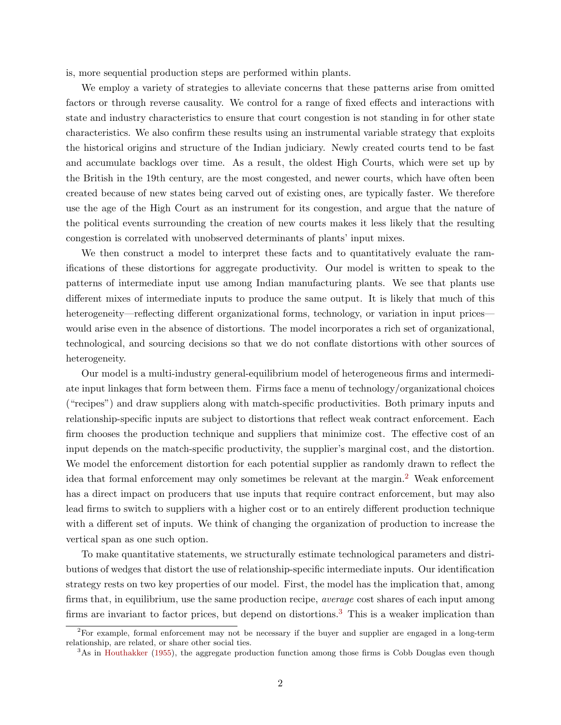is, more sequential production steps are performed within plants.

We employ a variety of strategies to alleviate concerns that these patterns arise from omitted factors or through reverse causality. We control for a range of fixed effects and interactions with state and industry characteristics to ensure that court congestion is not standing in for other state characteristics. We also confirm these results using an instrumental variable strategy that exploits the historical origins and structure of the Indian judiciary. Newly created courts tend to be fast and accumulate backlogs over time. As a result, the oldest High Courts, which were set up by the British in the 19th century, are the most congested, and newer courts, which have often been created because of new states being carved out of existing ones, are typically faster. We therefore use the age of the High Court as an instrument for its congestion, and argue that the nature of the political events surrounding the creation of new courts makes it less likely that the resulting congestion is correlated with unobserved determinants of plants' input mixes.

We then construct a model to interpret these facts and to quantitatively evaluate the ramifications of these distortions for aggregate productivity. Our model is written to speak to the patterns of intermediate input use among Indian manufacturing plants. We see that plants use different mixes of intermediate inputs to produce the same output. It is likely that much of this heterogeneity—reflecting different organizational forms, technology, or variation in input prices would arise even in the absence of distortions. The model incorporates a rich set of organizational, technological, and sourcing decisions so that we do not conflate distortions with other sources of heterogeneity.

Our model is a multi-industry general-equilibrium model of heterogeneous firms and intermediate input linkages that form between them. Firms face a menu of technology/organizational choices ("recipes") and draw suppliers along with match-specific productivities. Both primary inputs and relationship-specific inputs are subject to distortions that reflect weak contract enforcement. Each firm chooses the production technique and suppliers that minimize cost. The effective cost of an input depends on the match-specific productivity, the supplier's marginal cost, and the distortion. We model the enforcement distortion for each potential supplier as randomly drawn to reflect the idea that formal enforcement may only sometimes be relevant at the margin.<sup>[2](#page-2-0)</sup> Weak enforcement has a direct impact on producers that use inputs that require contract enforcement, but may also lead firms to switch to suppliers with a higher cost or to an entirely different production technique with a different set of inputs. We think of changing the organization of production to increase the vertical span as one such option.

To make quantitative statements, we structurally estimate technological parameters and distributions of wedges that distort the use of relationship-specific intermediate inputs. Our identification strategy rests on two key properties of our model. First, the model has the implication that, among firms that, in equilibrium, use the same production recipe, *average* cost shares of each input among firms are invariant to factor prices, but depend on distortions.<sup>[3](#page-2-1)</sup> This is a weaker implication than

<span id="page-2-0"></span><sup>2</sup>For example, formal enforcement may not be necessary if the buyer and supplier are engaged in a long-term relationship, are related, or share other social ties.

<span id="page-2-1"></span><sup>&</sup>lt;sup>3</sup>As in [Houthakker](#page-36-0) [\(1955\)](#page-36-0), the aggregate production function among those firms is Cobb Douglas even though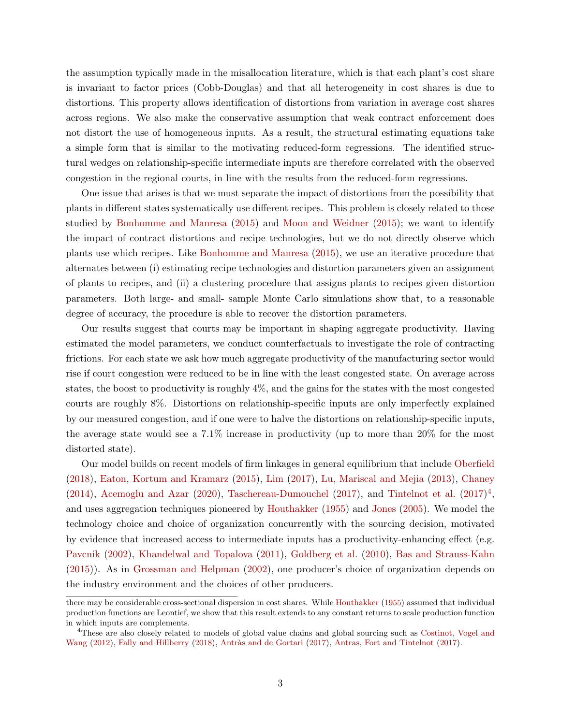the assumption typically made in the misallocation literature, which is that each plant's cost share is invariant to factor prices (Cobb-Douglas) and that all heterogeneity in cost shares is due to distortions. This property allows identification of distortions from variation in average cost shares across regions. We also make the conservative assumption that weak contract enforcement does not distort the use of homogeneous inputs. As a result, the structural estimating equations take a simple form that is similar to the motivating reduced-form regressions. The identified structural wedges on relationship-specific intermediate inputs are therefore correlated with the observed congestion in the regional courts, in line with the results from the reduced-form regressions.

One issue that arises is that we must separate the impact of distortions from the possibility that plants in different states systematically use different recipes. This problem is closely related to those studied by [Bonhomme and Manresa](#page-36-1) [\(2015\)](#page-36-1) and [Moon and Weidner](#page-37-0) [\(2015\)](#page-37-0); we want to identify the impact of contract distortions and recipe technologies, but we do not directly observe which plants use which recipes. Like [Bonhomme and Manresa](#page-36-1) [\(2015\)](#page-36-1), we use an iterative procedure that alternates between (i) estimating recipe technologies and distortion parameters given an assignment of plants to recipes, and (ii) a clustering procedure that assigns plants to recipes given distortion parameters. Both large- and small- sample Monte Carlo simulations show that, to a reasonable degree of accuracy, the procedure is able to recover the distortion parameters.

Our results suggest that courts may be important in shaping aggregate productivity. Having estimated the model parameters, we conduct counterfactuals to investigate the role of contracting frictions. For each state we ask how much aggregate productivity of the manufacturing sector would rise if court congestion were reduced to be in line with the least congested state. On average across states, the boost to productivity is roughly 4%, and the gains for the states with the most congested courts are roughly 8%. Distortions on relationship-specific inputs are only imperfectly explained by our measured congestion, and if one were to halve the distortions on relationship-specific inputs, the average state would see a 7.1% increase in productivity (up to more than 20% for the most distorted state).

Our model builds on recent models of firm linkages in general equilibrium that include [Oberfield](#page-38-1) [\(2018\)](#page-38-1), [Eaton, Kortum and Kramarz](#page-36-2) [\(2015\)](#page-36-2), [Lim](#page-37-1) [\(2017\)](#page-37-1), [Lu, Mariscal and Mejia](#page-37-2) [\(2013\)](#page-37-2), [Chaney](#page-36-3) [\(2014\)](#page-36-3), [Acemoglu and Azar](#page-35-0) [\(2020\)](#page-35-0), [Taschereau-Dumouchel](#page-38-2) [\(2017\)](#page-38-3), and [Tintelnot et al.](#page-38-3)  $(2017)^4$  $(2017)^4$ , and uses aggregation techniques pioneered by [Houthakker](#page-36-0) [\(1955\)](#page-36-0) and [Jones](#page-37-3) [\(2005\)](#page-37-3). We model the technology choice and choice of organization concurrently with the sourcing decision, motivated by evidence that increased access to intermediate inputs has a productivity-enhancing effect (e.g. [Pavcnik](#page-38-4) [\(2002\)](#page-38-4), [Khandelwal and Topalova](#page-37-4) [\(2011\)](#page-37-4), [Goldberg et al.](#page-36-4) [\(2010\)](#page-36-4), [Bas and Strauss-Kahn](#page-35-1) [\(2015\)](#page-35-1)). As in [Grossman and Helpman](#page-36-5) [\(2002\)](#page-36-5), one producer's choice of organization depends on the industry environment and the choices of other producers.

there may be considerable cross-sectional dispersion in cost shares. While [Houthakker](#page-36-0) [\(1955\)](#page-36-0) assumed that individual production functions are Leontief, we show that this result extends to any constant returns to scale production function in which inputs are complements.

<span id="page-3-0"></span><sup>4</sup>These are also closely related to models of global value chains and global sourcing such as [Costinot, Vogel and](#page-36-6) [Wang](#page-36-6) [\(2012\)](#page-36-6), [Fally and Hillberry](#page-36-7) [\(2018\)](#page-36-7), Antràs and de Gortari [\(2017\)](#page-35-3), [Antras, Fort and Tintelnot](#page-35-3) (2017).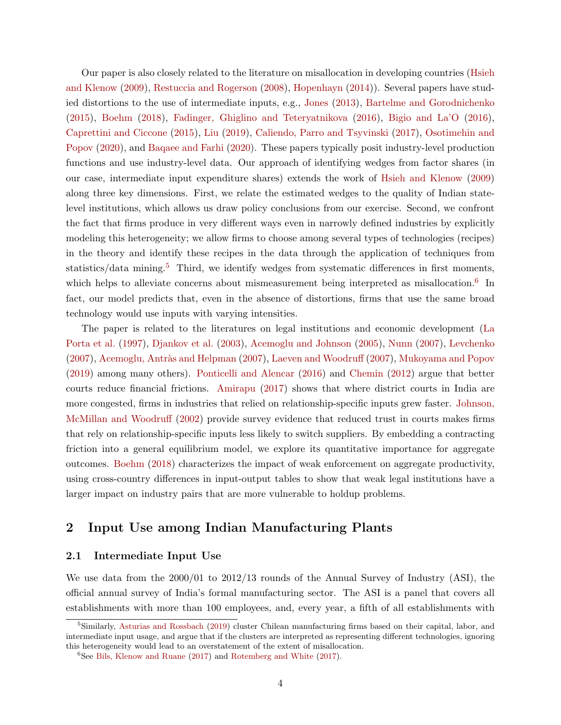Our paper is also closely related to the literature on misallocation in developing countries [\(Hsieh](#page-37-5) [and Klenow](#page-37-5) [\(2009\)](#page-37-5), [Restuccia and Rogerson](#page-38-5) [\(2008\)](#page-38-5), [Hopenhayn](#page-36-8) [\(2014\)](#page-36-8)). Several papers have studied distortions to the use of intermediate inputs, e.g., [Jones](#page-37-6) [\(2013\)](#page-37-6), [Bartelme and Gorodnichenko](#page-35-4) [\(2015\)](#page-35-4), [Boehm](#page-35-5) [\(2018\)](#page-35-5), [Fadinger, Ghiglino and Teteryatnikova](#page-36-9) [\(2016\)](#page-36-9), [Bigio and La'O](#page-35-6) [\(2016\)](#page-35-6), [Caprettini and Ciccone](#page-36-10) [\(2015\)](#page-36-10), [Liu](#page-37-7) [\(2019\)](#page-37-7), [Caliendo, Parro and Tsyvinski](#page-36-11) [\(2017\)](#page-36-11), [Osotimehin and](#page-38-6) [Popov](#page-38-6) [\(2020\)](#page-38-6), and [Baqaee and Farhi](#page-35-7) [\(2020\)](#page-35-7). These papers typically posit industry-level production functions and use industry-level data. Our approach of identifying wedges from factor shares (in our case, intermediate input expenditure shares) extends the work of [Hsieh and Klenow](#page-37-5) [\(2009\)](#page-37-5) along three key dimensions. First, we relate the estimated wedges to the quality of Indian statelevel institutions, which allows us draw policy conclusions from our exercise. Second, we confront the fact that firms produce in very different ways even in narrowly defined industries by explicitly modeling this heterogeneity; we allow firms to choose among several types of technologies (recipes) in the theory and identify these recipes in the data through the application of techniques from statistics/data mining.<sup>[5](#page-4-0)</sup> Third, we identify wedges from systematic differences in first moments, which helps to alleviate concerns about mismeasurement being interpreted as misallocation.<sup>[6](#page-4-1)</sup> In fact, our model predicts that, even in the absence of distortions, firms that use the same broad technology would use inputs with varying intensities.

The paper is related to the literatures on legal institutions and economic development [\(La](#page-37-8) [Porta et al.](#page-37-8) [\(1997\)](#page-37-8), [Djankov et al.](#page-36-12) [\(2003\)](#page-36-12), [Acemoglu and Johnson](#page-35-8) [\(2005\)](#page-35-8), [Nunn](#page-38-7) [\(2007\)](#page-38-7), [Levchenko](#page-37-9) [\(2007\)](#page-37-10), Acemoglu, Antràs and Helpman (2007), [Laeven and Woodruff](#page-37-10) (2007), [Mukoyama and Popov](#page-37-11) [\(2019\)](#page-37-11) among many others). [Ponticelli and Alencar](#page-38-8) [\(2016\)](#page-38-8) and [Chemin](#page-36-13) [\(2012\)](#page-36-13) argue that better courts reduce financial frictions. [Amirapu](#page-35-10) [\(2017\)](#page-35-10) shows that where district courts in India are more congested, firms in industries that relied on relationship-specific inputs grew faster. [Johnson,](#page-37-12) [McMillan and Woodruff](#page-37-12) [\(2002\)](#page-37-12) provide survey evidence that reduced trust in courts makes firms that rely on relationship-specific inputs less likely to switch suppliers. By embedding a contracting friction into a general equilibrium model, we explore its quantitative importance for aggregate outcomes. [Boehm](#page-35-5) [\(2018\)](#page-35-5) characterizes the impact of weak enforcement on aggregate productivity, using cross-country differences in input-output tables to show that weak legal institutions have a larger impact on industry pairs that are more vulnerable to holdup problems.

# 2 Input Use among Indian Manufacturing Plants

# <span id="page-4-2"></span>2.1 Intermediate Input Use

We use data from the 2000/01 to 2012/13 rounds of the Annual Survey of Industry (ASI), the official annual survey of India's formal manufacturing sector. The ASI is a panel that covers all establishments with more than 100 employees, and, every year, a fifth of all establishments with

<span id="page-4-0"></span><sup>&</sup>lt;sup>5</sup>Similarly, [Asturias and Rossbach](#page-35-11) [\(2019\)](#page-35-11) cluster Chilean manufacturing firms based on their capital, labor, and intermediate input usage, and argue that if the clusters are interpreted as representing different technologies, ignoring this heterogeneity would lead to an overstatement of the extent of misallocation.

<span id="page-4-1"></span> ${}^{6}$ See [Bils, Klenow and Ruane](#page-35-12) [\(2017\)](#page-38-9) and [Rotemberg and White](#page-38-9) (2017).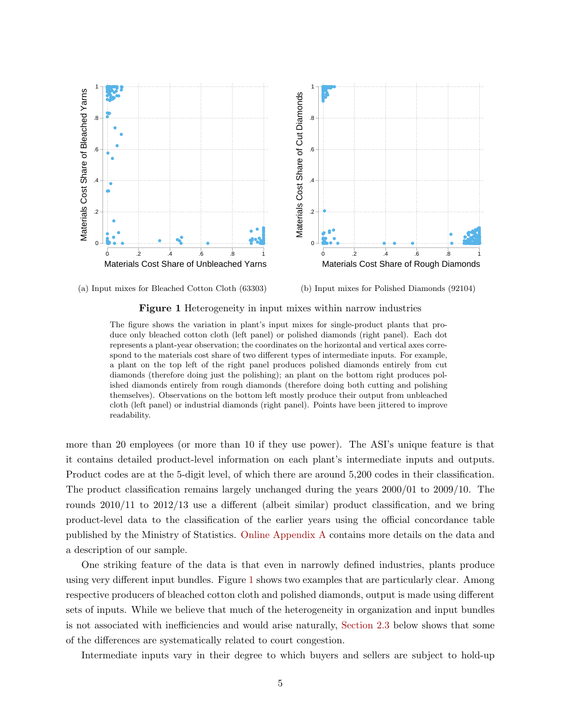



(b) Input mixes for Polished Diamonds (92104)

<span id="page-5-0"></span>

The figure shows the variation in plant's input mixes for single-product plants that produce only bleached cotton cloth (left panel) or polished diamonds (right panel). Each dot represents a plant-year observation; the coordinates on the horizontal and vertical axes correspond to the materials cost share of two different types of intermediate inputs. For example, a plant on the top left of the right panel produces polished diamonds entirely from cut diamonds (therefore doing just the polishing); an plant on the bottom right produces polished diamonds entirely from rough diamonds (therefore doing both cutting and polishing themselves). Observations on the bottom left mostly produce their output from unbleached cloth (left panel) or industrial diamonds (right panel). Points have been jittered to improve readability.

more than 20 employees (or more than 10 if they use power). The ASI's unique feature is that it contains detailed product-level information on each plant's intermediate inputs and outputs. Product codes are at the 5-digit level, of which there are around 5,200 codes in their classification. The product classification remains largely unchanged during the years 2000/01 to 2009/10. The rounds 2010/11 to 2012/13 use a different (albeit similar) product classification, and we bring product-level data to the classification of the earlier years using the official concordance table published by the Ministry of Statistics. [Online Appendix A](#page-0-0) contains more details on the data and a description of our sample.

One striking feature of the data is that even in narrowly defined industries, plants produce using very different input bundles. Figure [1](#page-5-0) shows two examples that are particularly clear. Among respective producers of bleached cotton cloth and polished diamonds, output is made using different sets of inputs. While we believe that much of the heterogeneity in organization and input bundles is not associated with inefficiencies and would arise naturally, [Section 2.3](#page-8-0) below shows that some of the differences are systematically related to court congestion.

Intermediate inputs vary in their degree to which buyers and sellers are subject to hold-up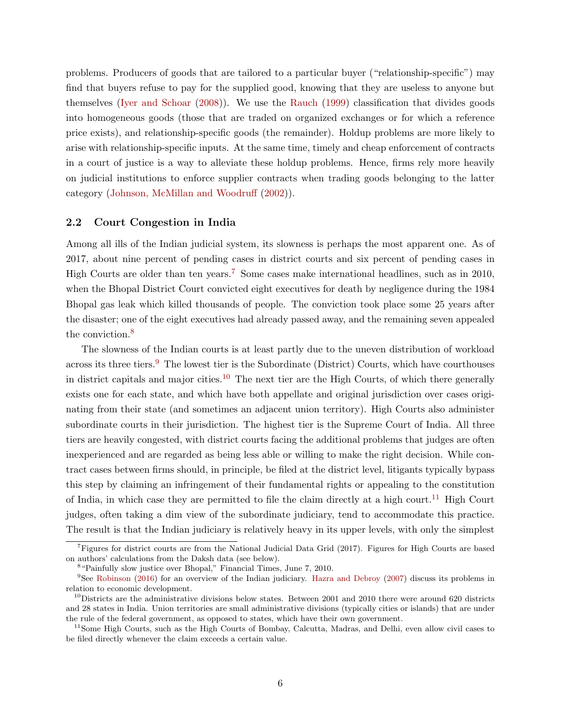problems. Producers of goods that are tailored to a particular buyer ("relationship-specific") may find that buyers refuse to pay for the supplied good, knowing that they are useless to anyone but themselves [\(Iyer and Schoar](#page-37-13) [\(2008\)](#page-37-13)). We use the [Rauch](#page-38-0) [\(1999\)](#page-38-0) classification that divides goods into homogeneous goods (those that are traded on organized exchanges or for which a reference price exists), and relationship-specific goods (the remainder). Holdup problems are more likely to arise with relationship-specific inputs. At the same time, timely and cheap enforcement of contracts in a court of justice is a way to alleviate these holdup problems. Hence, firms rely more heavily on judicial institutions to enforce supplier contracts when trading goods belonging to the latter category [\(Johnson, McMillan and Woodruff](#page-37-12) [\(2002\)](#page-37-12)).

# <span id="page-6-5"></span>2.2 Court Congestion in India

Among all ills of the Indian judicial system, its slowness is perhaps the most apparent one. As of 2017, about nine percent of pending cases in district courts and six percent of pending cases in High Courts are older than ten years.<sup>[7](#page-6-0)</sup> Some cases make international headlines, such as in 2010, when the Bhopal District Court convicted eight executives for death by negligence during the 1984 Bhopal gas leak which killed thousands of people. The conviction took place some 25 years after the disaster; one of the eight executives had already passed away, and the remaining seven appealed the conviction.<sup>[8](#page-6-1)</sup>

The slowness of the Indian courts is at least partly due to the uneven distribution of workload across its three tiers.<sup>[9](#page-6-2)</sup> The lowest tier is the Subordinate (District) Courts, which have courthouses in district capitals and major cities.<sup>[10](#page-6-3)</sup> The next tier are the High Courts, of which there generally exists one for each state, and which have both appellate and original jurisdiction over cases originating from their state (and sometimes an adjacent union territory). High Courts also administer subordinate courts in their jurisdiction. The highest tier is the Supreme Court of India. All three tiers are heavily congested, with district courts facing the additional problems that judges are often inexperienced and are regarded as being less able or willing to make the right decision. While contract cases between firms should, in principle, be filed at the district level, litigants typically bypass this step by claiming an infringement of their fundamental rights or appealing to the constitution of India, in which case they are permitted to file the claim directly at a high court.<sup>[11](#page-6-4)</sup> High Court judges, often taking a dim view of the subordinate judiciary, tend to accommodate this practice. The result is that the Indian judiciary is relatively heavy in its upper levels, with only the simplest

<span id="page-6-0"></span><sup>7</sup>Figures for district courts are from the National Judicial Data Grid (2017). Figures for High Courts are based on authors' calculations from the Daksh data (see below).

<span id="page-6-2"></span><span id="page-6-1"></span><sup>&</sup>lt;sup>8</sup> "Painfully slow justice over Bhopal," Financial Times, June 7, 2010.

<sup>9</sup>See [Robinson](#page-38-10) [\(2016\)](#page-38-10) for an overview of the Indian judiciary. [Hazra and Debroy](#page-36-14) [\(2007\)](#page-36-14) discuss its problems in relation to economic development.

<span id="page-6-3"></span> $10$ Districts are the administrative divisions below states. Between 2001 and 2010 there were around 620 districts and 28 states in India. Union territories are small administrative divisions (typically cities or islands) that are under the rule of the federal government, as opposed to states, which have their own government.

<span id="page-6-4"></span><sup>&</sup>lt;sup>11</sup>Some High Courts, such as the High Courts of Bombay, Calcutta, Madras, and Delhi, even allow civil cases to be filed directly whenever the claim exceeds a certain value.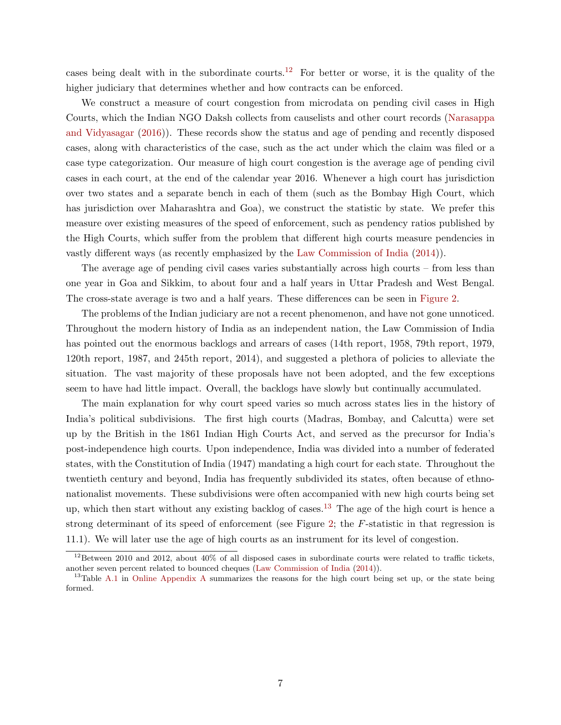cases being dealt with in the subordinate courts.<sup>[12](#page-7-0)</sup> For better or worse, it is the quality of the higher judiciary that determines whether and how contracts can be enforced.

We construct a measure of court congestion from microdata on pending civil cases in High Courts, which the Indian NGO Daksh collects from causelists and other court records [\(Narasappa](#page-37-14) [and Vidyasagar](#page-37-14) [\(2016\)](#page-37-14)). These records show the status and age of pending and recently disposed cases, along with characteristics of the case, such as the act under which the claim was filed or a case type categorization. Our measure of high court congestion is the average age of pending civil cases in each court, at the end of the calendar year 2016. Whenever a high court has jurisdiction over two states and a separate bench in each of them (such as the Bombay High Court, which has jurisdiction over Maharashtra and Goa), we construct the statistic by state. We prefer this measure over existing measures of the speed of enforcement, such as pendency ratios published by the High Courts, which suffer from the problem that different high courts measure pendencies in vastly different ways (as recently emphasized by the [Law Commission of India](#page-37-15) [\(2014\)](#page-37-15)).

The average age of pending civil cases varies substantially across high courts – from less than one year in Goa and Sikkim, to about four and a half years in Uttar Pradesh and West Bengal. The cross-state average is two and a half years. These differences can be seen in [Figure 2.](#page-8-1)

The problems of the Indian judiciary are not a recent phenomenon, and have not gone unnoticed. Throughout the modern history of India as an independent nation, the Law Commission of India has pointed out the enormous backlogs and arrears of cases (14th report, 1958, 79th report, 1979, 120th report, 1987, and 245th report, 2014), and suggested a plethora of policies to alleviate the situation. The vast majority of these proposals have not been adopted, and the few exceptions seem to have had little impact. Overall, the backlogs have slowly but continually accumulated.

The main explanation for why court speed varies so much across states lies in the history of India's political subdivisions. The first high courts (Madras, Bombay, and Calcutta) were set up by the British in the 1861 Indian High Courts Act, and served as the precursor for India's post-independence high courts. Upon independence, India was divided into a number of federated states, with the Constitution of India (1947) mandating a high court for each state. Throughout the twentieth century and beyond, India has frequently subdivided its states, often because of ethnonationalist movements. These subdivisions were often accompanied with new high courts being set up, which then start without any existing backlog of cases.<sup>[13](#page-7-1)</sup> The age of the high court is hence a strong determinant of its speed of enforcement (see Figure [2;](#page-8-1) the F-statistic in that regression is 11.1). We will later use the age of high courts as an instrument for its level of congestion.

<span id="page-7-0"></span> $12$ Between 2010 and 2012, about 40% of all disposed cases in subordinate courts were related to traffic tickets, another seven percent related to bounced cheques [\(Law Commission of India](#page-37-15) [\(2014\)](#page-37-15)).

<span id="page-7-1"></span> $13$ Table [A.1](#page-0-0) in [Online Appendix A](#page-0-0) summarizes the reasons for the high court being set up, or the state being formed.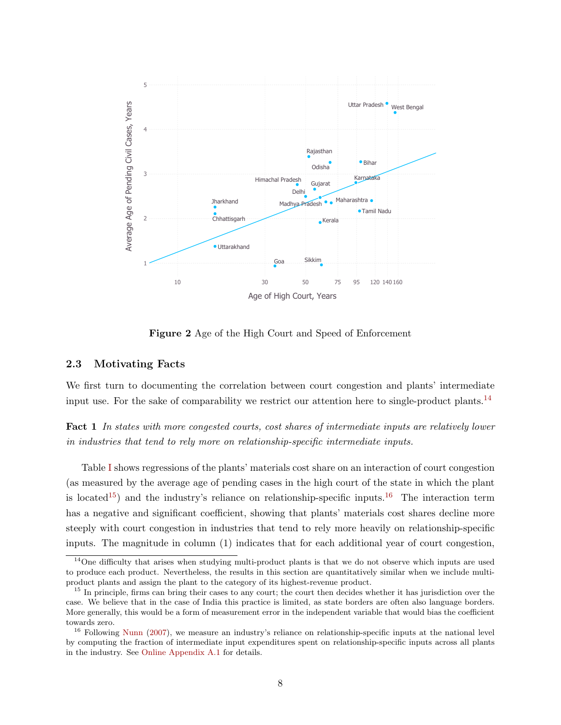

<span id="page-8-1"></span>Figure 2 Age of the High Court and Speed of Enforcement

# <span id="page-8-0"></span>2.3 Motivating Facts

We first turn to documenting the correlation between court congestion and plants' intermediate input use. For the sake of comparability we restrict our attention here to single-product plants.<sup>[14](#page-8-2)</sup>

<span id="page-8-5"></span>Fact 1 In states with more congested courts, cost shares of intermediate inputs are relatively lower in industries that tend to rely more on relationship-specific intermediate inputs.

Table [I](#page-9-0) shows regressions of the plants' materials cost share on an interaction of court congestion (as measured by the average age of pending cases in the high court of the state in which the plant is located<sup>[15](#page-8-3)</sup>) and the industry's reliance on relationship-specific inputs.<sup>[16](#page-8-4)</sup> The interaction term has a negative and significant coefficient, showing that plants' materials cost shares decline more steeply with court congestion in industries that tend to rely more heavily on relationship-specific inputs. The magnitude in column (1) indicates that for each additional year of court congestion,

<span id="page-8-2"></span> $14$ One difficulty that arises when studying multi-product plants is that we do not observe which inputs are used to produce each product. Nevertheless, the results in this section are quantitatively similar when we include multiproduct plants and assign the plant to the category of its highest-revenue product.

<span id="page-8-3"></span><sup>&</sup>lt;sup>15</sup> In principle, firms can bring their cases to any court; the court then decides whether it has jurisdiction over the case. We believe that in the case of India this practice is limited, as state borders are often also language borders. More generally, this would be a form of measurement error in the independent variable that would bias the coefficient towards zero.

<span id="page-8-4"></span><sup>&</sup>lt;sup>16</sup> Following [Nunn](#page-38-7) [\(2007\)](#page-38-7), we measure an industry's reliance on relationship-specific inputs at the national level by computing the fraction of intermediate input expenditures spent on relationship-specific inputs across all plants in the industry. See [Online Appendix A.1](#page-0-0) for details.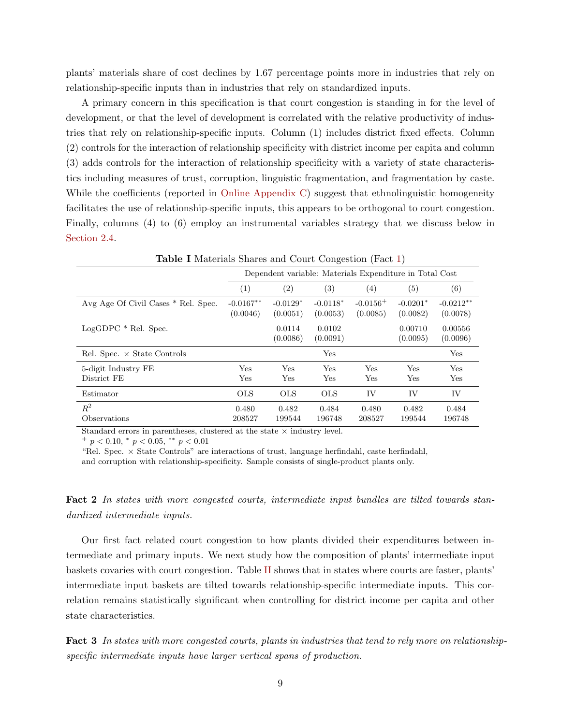plants' materials share of cost declines by 1.67 percentage points more in industries that rely on relationship-specific inputs than in industries that rely on standardized inputs.

A primary concern in this specification is that court congestion is standing in for the level of development, or that the level of development is correlated with the relative productivity of industries that rely on relationship-specific inputs. Column (1) includes district fixed effects. Column (2) controls for the interaction of relationship specificity with district income per capita and column (3) adds controls for the interaction of relationship specificity with a variety of state characteristics including measures of trust, corruption, linguistic fragmentation, and fragmentation by caste. While the coefficients (reported in [Online Appendix C\)](#page-0-0) suggest that ethnolinguistic homogeneity facilitates the use of relationship-specific inputs, this appears to be orthogonal to court congestion. Finally, columns (4) to (6) employ an instrumental variables strategy that we discuss below in [Section 2.4.](#page-11-0)

| - - - - - -                         |                                                         |                        |                        |                           |                        |                         |
|-------------------------------------|---------------------------------------------------------|------------------------|------------------------|---------------------------|------------------------|-------------------------|
|                                     | Dependent variable: Materials Expenditure in Total Cost |                        |                        |                           |                        |                         |
|                                     | (1)                                                     | $\left( 2\right)$      | (3)                    | (4)                       | (5)                    | (6)                     |
| Avg Age Of Civil Cases * Rel. Spec. | $-0.0167**$<br>(0.0046)                                 | $-0.0129*$<br>(0.0051) | $-0.0118*$<br>(0.0053) | $-0.0156^{+}$<br>(0.0085) | $-0.0201*$<br>(0.0082) | $-0.0212**$<br>(0.0078) |
| $LogGDPC * Rel. Spec.$              |                                                         | 0.0114<br>(0.0086)     | 0.0102<br>(0.0091)     |                           | 0.00710<br>(0.0095)    | 0.00556<br>(0.0096)     |
| Rel. Spec. $\times$ State Controls  |                                                         |                        | Yes                    |                           |                        | Yes                     |
| 5-digit Industry FE<br>District FE  | Yes<br>Yes                                              | <b>Yes</b><br>Yes      | Yes<br>Yes             | Yes<br>Yes                | Yes<br>Yes             | Yes<br>Yes              |
| Estimator                           | <b>OLS</b>                                              | <b>OLS</b>             | <b>OLS</b>             | IV                        | IV                     | IV                      |
| $R^2$<br>Observations               | 0.480<br>208527                                         | 0.482<br>199544        | 0.484<br>196748        | 0.480<br>208527           | 0.482<br>199544        | 0.484<br>196748         |

<span id="page-9-0"></span>Table I Materials Shares and Court Congestion (Fact [1\)](#page-8-5)

Standard errors in parentheses, clustered at the state  $\times$  industry level.

 $^{+}$   $p < 0.10, \, ^{*}$   $p < 0.05, \, ^{**}$   $p < 0.01$ 

"Rel. Spec.  $\times$  State Controls" are interactions of trust, language herfindahl, caste herfindahl, and corruption with relationship-specificity. Sample consists of single-product plants only.

<span id="page-9-1"></span>Fact 2 In states with more congested courts, intermediate input bundles are tilted towards standardized intermediate inputs.

Our first fact related court congestion to how plants divided their expenditures between intermediate and primary inputs. We next study how the composition of plants' intermediate input baskets covaries with court congestion. Table [II](#page-10-0) shows that in states where courts are faster, plants' intermediate input baskets are tilted towards relationship-specific intermediate inputs. This correlation remains statistically significant when controlling for district income per capita and other state characteristics.

<span id="page-9-2"></span>Fact 3 In states with more congested courts, plants in industries that tend to rely more on relationshipspecific intermediate inputs have larger vertical spans of production.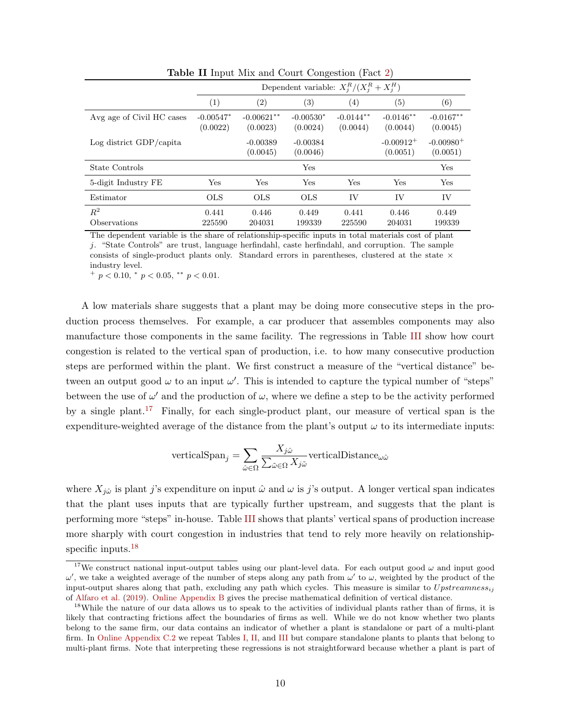|                           | Dependent variable: $X_i^R/(X_i^R+X_i^H)$ |                          |                         |                          |                                     |                          |
|---------------------------|-------------------------------------------|--------------------------|-------------------------|--------------------------|-------------------------------------|--------------------------|
|                           | (1)                                       | (2)                      | $\left( 3\right)$       | (4)                      | (5)                                 | (6)                      |
| Avg age of Civil HC cases | $-0.00547*$<br>(0.0022)                   | $-0.00621**$<br>(0.0023) | $-0.00530*$<br>(0.0024) | $-0.0144***$<br>(0.0044) | $-0.0146**$<br>(0.0044)             | $-0.0167**$<br>(0.0045)  |
| Log district GDP/capita   |                                           | $-0.00389$<br>(0.0045)   | $-0.00384$<br>(0.0046)  |                          | $-0.00912$ <sup>+</sup><br>(0.0051) | $-0.00980^+$<br>(0.0051) |
| State Controls            |                                           |                          | Yes                     |                          |                                     | Yes                      |
| 5-digit Industry FE       | Yes                                       | <b>Yes</b>               | Yes                     | Yes                      | Yes                                 | Yes                      |
| Estimator                 | <b>OLS</b>                                | <b>OLS</b>               | <b>OLS</b>              | IV                       | IV                                  | IV                       |
| $\,R^2$<br>Observations   | 0.441<br>225590                           | 0.446<br>204031          | 0.449<br>199339         | 0.441<br>225590          | 0.446<br>204031                     | 0.449<br>199339          |

<span id="page-10-0"></span>Table II Input Mix and Court Congestion (Fact [2\)](#page-9-1)

The dependent variable is the share of relationship-specific inputs in total materials cost of plant j. "State Controls" are trust, language herfindahl, caste herfindahl, and corruption. The sample consists of single-product plants only. Standard errors in parentheses, clustered at the state  $\times$ industry level.

 $^{+}$  p < 0.10,  $^{*}$  p < 0.05,  $^{**}$  p < 0.01.

A low materials share suggests that a plant may be doing more consecutive steps in the production process themselves. For example, a car producer that assembles components may also manufacture those components in the same facility. The regressions in Table [III](#page-11-1) show how court congestion is related to the vertical span of production, i.e. to how many consecutive production steps are performed within the plant. We first construct a measure of the "vertical distance" between an output good  $\omega$  to an input  $\omega'$ . This is intended to capture the typical number of "steps" between the use of  $\omega'$  and the production of  $\omega$ , where we define a step to be the activity performed by a single plant.[17](#page-10-1) Finally, for each single-product plant, our measure of vertical span is the expenditure-weighted average of the distance from the plant's output  $\omega$  to its intermediate inputs:

$$
\text{verticalSpan}_j = \sum_{\hat{\omega} \in \Omega} \frac{X_{j\hat{\omega}}}{\sum_{\tilde{\omega} \in \Omega} X_{j\tilde{\omega}}} \text{verticalDistance}_{\omega \hat{\omega}}
$$

where  $X_{i\hat{\omega}}$  is plant j's expenditure on input  $\hat{\omega}$  and  $\omega$  is j's output. A longer vertical span indicates that the plant uses inputs that are typically further upstream, and suggests that the plant is performing more "steps" in-house. Table [III](#page-11-1) shows that plants' vertical spans of production increase more sharply with court congestion in industries that tend to rely more heavily on relationship-specific inputs.<sup>[18](#page-10-2)</sup>

<span id="page-10-1"></span><sup>&</sup>lt;sup>17</sup>We construct national input-output tables using our plant-level data. For each output good  $\omega$  and input good  $ω'$ , we take a weighted average of the number of steps along any path from  $ω'$  to  $ω$ , weighted by the product of the input-output shares along that path, excluding any path which cycles. This measure is similar to  $Upstreamness_{ij}$ of [Alfaro et al.](#page-35-13) [\(2019\)](#page-35-13). [Online Appendix B](#page-0-0) gives the precise mathematical definition of vertical distance.

<span id="page-10-2"></span><sup>&</sup>lt;sup>18</sup>While the nature of our data allows us to speak to the activities of individual plants rather than of firms, it is likely that contracting frictions affect the boundaries of firms as well. While we do not know whether two plants belong to the same firm, our data contains an indicator of whether a plant is standalone or part of a multi-plant firm. In [Online Appendix C.2](#page-0-0) we repeat Tables [I,](#page-9-0) [II,](#page-10-0) and [III](#page-11-1) but compare standalone plants to plants that belong to multi-plant firms. Note that interpreting these regressions is not straightforward because whether a plant is part of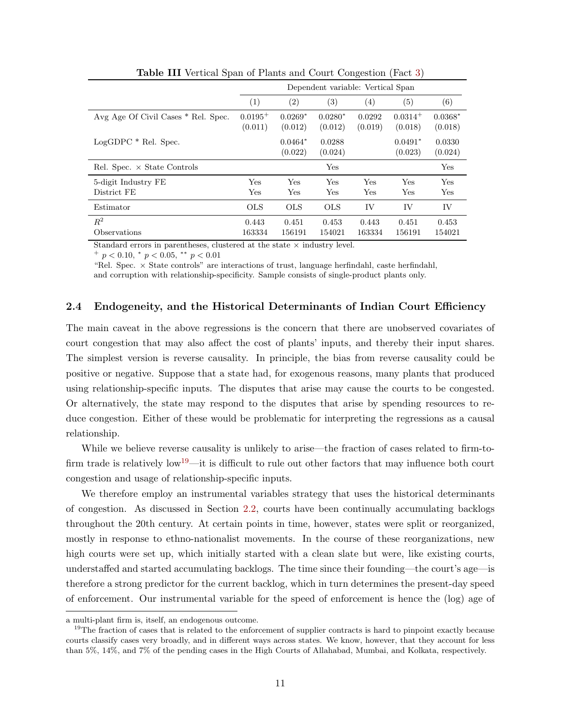|                                     | Dependent variable: Vertical Span |                      |                      |                   |                      |                      |
|-------------------------------------|-----------------------------------|----------------------|----------------------|-------------------|----------------------|----------------------|
|                                     | (1)                               | (2)                  | (3)                  | $\left(4\right)$  | $\left( 5\right)$    | (6)                  |
| Avg Age Of Civil Cases * Rel. Spec. | $0.0195^{+}$<br>(0.011)           | $0.0269*$<br>(0.012) | $0.0280*$<br>(0.012) | 0.0292<br>(0.019) | $0.0314+$<br>(0.018) | $0.0368*$<br>(0.018) |
| $LogGDPC * Rel. Spec.$              |                                   | $0.0464*$<br>(0.022) | 0.0288<br>(0.024)    |                   | $0.0491*$<br>(0.023) | 0.0330<br>(0.024)    |
| Rel. Spec. $\times$ State Controls  |                                   |                      | Yes                  |                   |                      | Yes                  |
| 5-digit Industry FE<br>District FE  | Yes<br>Yes                        | Yes<br>Yes           | Yes<br>Yes           | Yes<br>Yes        | Yes<br>Yes           | Yes<br>Yes           |
| Estimator                           | <b>OLS</b>                        | <b>OLS</b>           | <b>OLS</b>           | IV                | IV                   | IV                   |
| $R^2$<br>Observations               | 0.443<br>163334                   | 0.451<br>156191      | 0.453<br>154021      | 0.443<br>163334   | 0.451<br>156191      | 0.453<br>154021      |

<span id="page-11-1"></span>Table III Vertical Span of Plants and Court Congestion (Fact [3\)](#page-9-2)

Standard errors in parentheses, clustered at the state  $\times$  industry level.

 $^{+}$  p < 0.10,  $^{*}$  p < 0.05,  $^{**}$  p < 0.01

"Rel. Spec. × State controls" are interactions of trust, language herfindahl, caste herfindahl, and corruption with relationship-specificity. Sample consists of single-product plants only.

## <span id="page-11-0"></span>2.4 Endogeneity, and the Historical Determinants of Indian Court Efficiency

The main caveat in the above regressions is the concern that there are unobserved covariates of court congestion that may also affect the cost of plants' inputs, and thereby their input shares. The simplest version is reverse causality. In principle, the bias from reverse causality could be positive or negative. Suppose that a state had, for exogenous reasons, many plants that produced using relationship-specific inputs. The disputes that arise may cause the courts to be congested. Or alternatively, the state may respond to the disputes that arise by spending resources to reduce congestion. Either of these would be problematic for interpreting the regressions as a causal relationship.

While we believe reverse causality is unlikely to arise—the fraction of cases related to firm-to-firm trade is relatively low<sup>[19](#page-11-2)</sup>—it is difficult to rule out other factors that may influence both court congestion and usage of relationship-specific inputs.

We therefore employ an instrumental variables strategy that uses the historical determinants of congestion. As discussed in Section [2.2,](#page-6-5) courts have been continually accumulating backlogs throughout the 20th century. At certain points in time, however, states were split or reorganized, mostly in response to ethno-nationalist movements. In the course of these reorganizations, new high courts were set up, which initially started with a clean slate but were, like existing courts, understaffed and started accumulating backlogs. The time since their founding—the court's age—is therefore a strong predictor for the current backlog, which in turn determines the present-day speed of enforcement. Our instrumental variable for the speed of enforcement is hence the (log) age of

a multi-plant firm is, itself, an endogenous outcome.

<span id="page-11-2"></span><sup>&</sup>lt;sup>19</sup>The fraction of cases that is related to the enforcement of supplier contracts is hard to pinpoint exactly because courts classify cases very broadly, and in different ways across states. We know, however, that they account for less than 5%, 14%, and 7% of the pending cases in the High Courts of Allahabad, Mumbai, and Kolkata, respectively.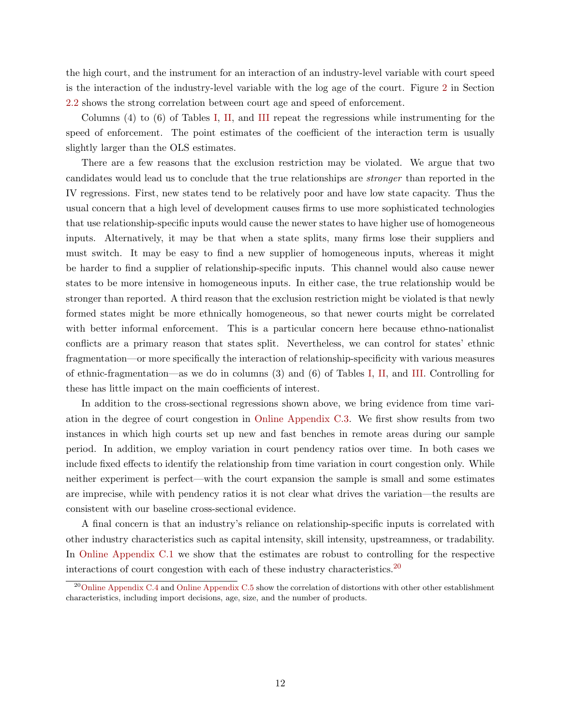the high court, and the instrument for an interaction of an industry-level variable with court speed is the interaction of the industry-level variable with the log age of the court. Figure [2](#page-8-1) in Section [2.2](#page-6-5) shows the strong correlation between court age and speed of enforcement.

Columns (4) to (6) of Tables [I,](#page-9-0) [II,](#page-10-0) and [III](#page-11-1) repeat the regressions while instrumenting for the speed of enforcement. The point estimates of the coefficient of the interaction term is usually slightly larger than the OLS estimates.

There are a few reasons that the exclusion restriction may be violated. We argue that two candidates would lead us to conclude that the true relationships are stronger than reported in the IV regressions. First, new states tend to be relatively poor and have low state capacity. Thus the usual concern that a high level of development causes firms to use more sophisticated technologies that use relationship-specific inputs would cause the newer states to have higher use of homogeneous inputs. Alternatively, it may be that when a state splits, many firms lose their suppliers and must switch. It may be easy to find a new supplier of homogeneous inputs, whereas it might be harder to find a supplier of relationship-specific inputs. This channel would also cause newer states to be more intensive in homogeneous inputs. In either case, the true relationship would be stronger than reported. A third reason that the exclusion restriction might be violated is that newly formed states might be more ethnically homogeneous, so that newer courts might be correlated with better informal enforcement. This is a particular concern here because ethno-nationalist conflicts are a primary reason that states split. Nevertheless, we can control for states' ethnic fragmentation—or more specifically the interaction of relationship-specificity with various measures of ethnic-fragmentation—as we do in columns (3) and (6) of Tables [I,](#page-9-0) [II,](#page-10-0) and [III.](#page-11-1) Controlling for these has little impact on the main coefficients of interest.

In addition to the cross-sectional regressions shown above, we bring evidence from time variation in the degree of court congestion in [Online Appendix C.3.](#page-0-0) We first show results from two instances in which high courts set up new and fast benches in remote areas during our sample period. In addition, we employ variation in court pendency ratios over time. In both cases we include fixed effects to identify the relationship from time variation in court congestion only. While neither experiment is perfect—with the court expansion the sample is small and some estimates are imprecise, while with pendency ratios it is not clear what drives the variation—the results are consistent with our baseline cross-sectional evidence.

A final concern is that an industry's reliance on relationship-specific inputs is correlated with other industry characteristics such as capital intensity, skill intensity, upstreamness, or tradability. In [Online Appendix C.1](#page-0-0) we show that the estimates are robust to controlling for the respective interactions of court congestion with each of these industry characteristics.<sup>[20](#page-12-0)</sup>

<span id="page-12-0"></span><sup>&</sup>lt;sup>20</sup>[Online Appendix C.4](#page-0-0) and [Online Appendix C.5](#page-0-0) show the correlation of distortions with other other establishment characteristics, including import decisions, age, size, and the number of products.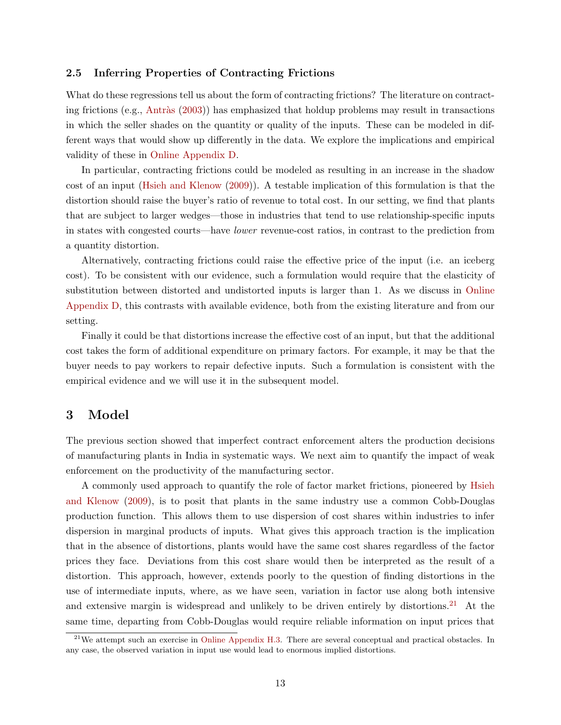## 2.5 Inferring Properties of Contracting Frictions

What do these regressions tell us about the form of contracting frictions? The literature on contracting frictions (e.g., Antràs  $(2003)$ ) has emphasized that holdup problems may result in transactions in which the seller shades on the quantity or quality of the inputs. These can be modeled in different ways that would show up differently in the data. We explore the implications and empirical validity of these in [Online Appendix D.](#page-0-0)

In particular, contracting frictions could be modeled as resulting in an increase in the shadow cost of an input [\(Hsieh and Klenow](#page-37-5) [\(2009\)](#page-37-5)). A testable implication of this formulation is that the distortion should raise the buyer's ratio of revenue to total cost. In our setting, we find that plants that are subject to larger wedges—those in industries that tend to use relationship-specific inputs in states with congested courts—have lower revenue-cost ratios, in contrast to the prediction from a quantity distortion.

Alternatively, contracting frictions could raise the effective price of the input (i.e. an iceberg cost). To be consistent with our evidence, such a formulation would require that the elasticity of substitution between distorted and undistorted inputs is larger than 1. As we discuss in [Online](#page-0-0) [Appendix D,](#page-0-0) this contrasts with available evidence, both from the existing literature and from our setting.

Finally it could be that distortions increase the effective cost of an input, but that the additional cost takes the form of additional expenditure on primary factors. For example, it may be that the buyer needs to pay workers to repair defective inputs. Such a formulation is consistent with the empirical evidence and we will use it in the subsequent model.

# 3 Model

The previous section showed that imperfect contract enforcement alters the production decisions of manufacturing plants in India in systematic ways. We next aim to quantify the impact of weak enforcement on the productivity of the manufacturing sector.

A commonly used approach to quantify the role of factor market frictions, pioneered by [Hsieh](#page-37-5) [and Klenow](#page-37-5) [\(2009\)](#page-37-5), is to posit that plants in the same industry use a common Cobb-Douglas production function. This allows them to use dispersion of cost shares within industries to infer dispersion in marginal products of inputs. What gives this approach traction is the implication that in the absence of distortions, plants would have the same cost shares regardless of the factor prices they face. Deviations from this cost share would then be interpreted as the result of a distortion. This approach, however, extends poorly to the question of finding distortions in the use of intermediate inputs, where, as we have seen, variation in factor use along both intensive and extensive margin is widespread and unlikely to be driven entirely by distortions.<sup>[21](#page-13-0)</sup> At the same time, departing from Cobb-Douglas would require reliable information on input prices that

<span id="page-13-0"></span> $21$ We attempt such an exercise in [Online Appendix H.3.](#page-0-0) There are several conceptual and practical obstacles. In any case, the observed variation in input use would lead to enormous implied distortions.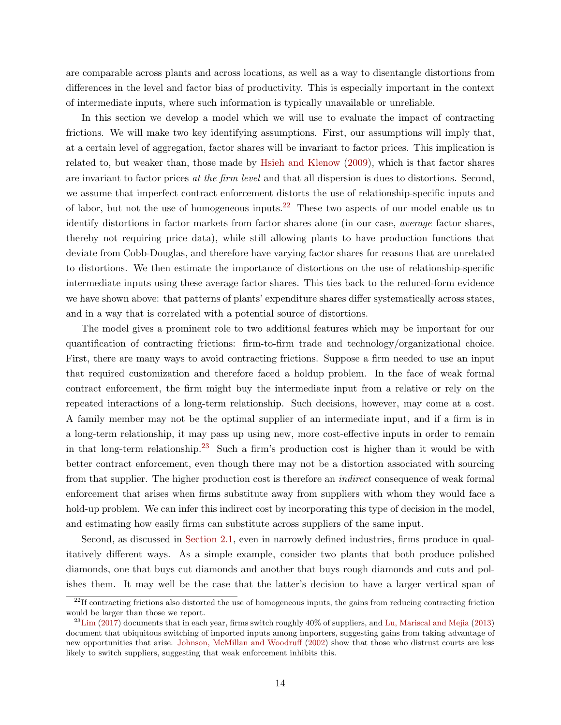are comparable across plants and across locations, as well as a way to disentangle distortions from differences in the level and factor bias of productivity. This is especially important in the context of intermediate inputs, where such information is typically unavailable or unreliable.

In this section we develop a model which we will use to evaluate the impact of contracting frictions. We will make two key identifying assumptions. First, our assumptions will imply that, at a certain level of aggregation, factor shares will be invariant to factor prices. This implication is related to, but weaker than, those made by [Hsieh and Klenow](#page-37-5) [\(2009\)](#page-37-5), which is that factor shares are invariant to factor prices at the firm level and that all dispersion is dues to distortions. Second, we assume that imperfect contract enforcement distorts the use of relationship-specific inputs and of labor, but not the use of homogeneous inputs.<sup>[22](#page-14-0)</sup> These two aspects of our model enable us to identify distortions in factor markets from factor shares alone (in our case, *average* factor shares, thereby not requiring price data), while still allowing plants to have production functions that deviate from Cobb-Douglas, and therefore have varying factor shares for reasons that are unrelated to distortions. We then estimate the importance of distortions on the use of relationship-specific intermediate inputs using these average factor shares. This ties back to the reduced-form evidence we have shown above: that patterns of plants' expenditure shares differ systematically across states, and in a way that is correlated with a potential source of distortions.

The model gives a prominent role to two additional features which may be important for our quantification of contracting frictions: firm-to-firm trade and technology/organizational choice. First, there are many ways to avoid contracting frictions. Suppose a firm needed to use an input that required customization and therefore faced a holdup problem. In the face of weak formal contract enforcement, the firm might buy the intermediate input from a relative or rely on the repeated interactions of a long-term relationship. Such decisions, however, may come at a cost. A family member may not be the optimal supplier of an intermediate input, and if a firm is in a long-term relationship, it may pass up using new, more cost-effective inputs in order to remain in that long-term relationship.<sup>[23](#page-14-1)</sup> Such a firm's production cost is higher than it would be with better contract enforcement, even though there may not be a distortion associated with sourcing from that supplier. The higher production cost is therefore an indirect consequence of weak formal enforcement that arises when firms substitute away from suppliers with whom they would face a hold-up problem. We can infer this indirect cost by incorporating this type of decision in the model, and estimating how easily firms can substitute across suppliers of the same input.

Second, as discussed in [Section 2.1,](#page-4-2) even in narrowly defined industries, firms produce in qualitatively different ways. As a simple example, consider two plants that both produce polished diamonds, one that buys cut diamonds and another that buys rough diamonds and cuts and polishes them. It may well be the case that the latter's decision to have a larger vertical span of

<span id="page-14-0"></span> $^{22}$ If contracting frictions also distorted the use of homogeneous inputs, the gains from reducing contracting friction would be larger than those we report.

<span id="page-14-1"></span> $^{23}$ [Lim](#page-37-1) [\(2017\)](#page-37-1) documents that in each year, firms switch roughly 40% of suppliers, and [Lu, Mariscal and Mejia](#page-37-2) [\(2013\)](#page-37-2) document that ubiquitous switching of imported inputs among importers, suggesting gains from taking advantage of new opportunities that arise. [Johnson, McMillan and Woodruff](#page-37-12) [\(2002\)](#page-37-12) show that those who distrust courts are less likely to switch suppliers, suggesting that weak enforcement inhibits this.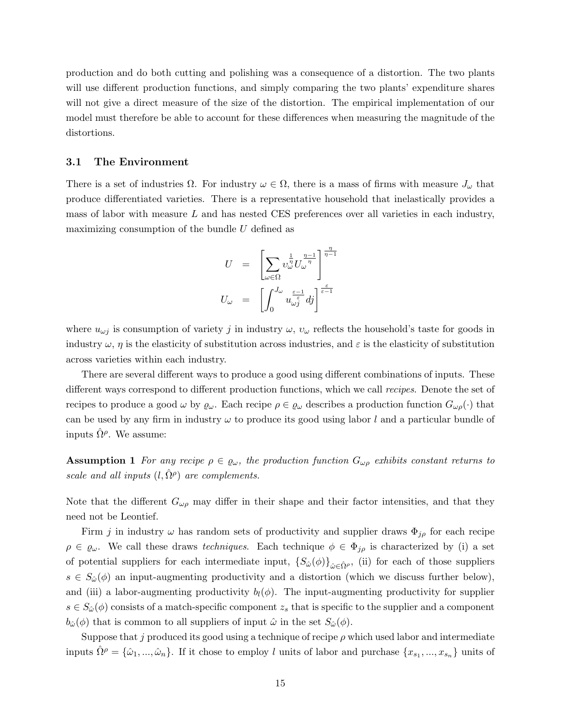production and do both cutting and polishing was a consequence of a distortion. The two plants will use different production functions, and simply comparing the two plants' expenditure shares will not give a direct measure of the size of the distortion. The empirical implementation of our model must therefore be able to account for these differences when measuring the magnitude of the distortions.

#### 3.1 The Environment

There is a set of industries  $\Omega$ . For industry  $\omega \in \Omega$ , there is a mass of firms with measure  $J_{\omega}$  that produce differentiated varieties. There is a representative household that inelastically provides a mass of labor with measure  $L$  and has nested CES preferences over all varieties in each industry, maximizing consumption of the bundle U defined as

$$
U = \left[ \sum_{\omega \in \Omega} v_{\omega}^{\frac{1}{\eta}} U_{\omega}^{\frac{\eta-1}{\eta}} \right]^{\frac{\eta}{\eta-1}} U_{\omega} = \left[ \int_0^{J_{\omega}} u_{\omega_j}^{\frac{\varepsilon-1}{\varepsilon}} dj \right]^{\frac{\varepsilon}{\varepsilon-1}}
$$

where  $u_{\omega j}$  is consumption of variety j in industry  $\omega$ ,  $v_{\omega}$  reflects the household's taste for goods in industry  $\omega$ ,  $\eta$  is the elasticity of substitution across industries, and  $\varepsilon$  is the elasticity of substitution across varieties within each industry.

There are several different ways to produce a good using different combinations of inputs. These different ways correspond to different production functions, which we call recipes. Denote the set of recipes to produce a good  $\omega$  by  $\varrho_{\omega}$ . Each recipe  $\rho \in \varrho_{\omega}$  describes a production function  $G_{\omega\rho}(\cdot)$  that can be used by any firm in industry  $\omega$  to produce its good using labor l and a particular bundle of inputs  $\hat{\Omega}^{\rho}$ . We assume:

<span id="page-15-0"></span>**Assumption 1** For any recipe  $\rho \in \varrho_\omega$ , the production function  $G_{\omega\rho}$  exhibits constant returns to scale and all inputs  $(l, \hat{\Omega}^{\rho})$  are complements.

Note that the different  $G_{\omega\rho}$  may differ in their shape and their factor intensities, and that they need not be Leontief.

Firm j in industry  $\omega$  has random sets of productivity and supplier draws  $\Phi_{j\rho}$  for each recipe  $\rho \in \varrho_\omega$ . We call these draws techniques. Each technique  $\phi \in \Phi_{j\rho}$  is characterized by (i) a set of potential suppliers for each intermediate input,  $\{S_{\hat{\omega}}(\phi)\}_{\hat{\omega}\in\hat{\Omega}^{\rho}}$ , (ii) for each of those suppliers  $s \in S_{\hat{\omega}}(\phi)$  an input-augmenting productivity and a distortion (which we discuss further below), and (iii) a labor-augmenting productivity  $b_l(\phi)$ . The input-augmenting productivity for supplier  $s \in S_{\hat{\omega}}(\phi)$  consists of a match-specific component  $z_s$  that is specific to the supplier and a component  $b_{\hat{\omega}}(\phi)$  that is common to all suppliers of input  $\hat{\omega}$  in the set  $S_{\hat{\omega}}(\phi)$ .

Suppose that j produced its good using a technique of recipe  $\rho$  which used labor and intermediate inputs  $\hat{\Omega}^{\rho} = \{\hat{\omega}_1, ..., \hat{\omega}_n\}$ . If it chose to employ l units of labor and purchase  $\{x_{s_1}, ..., x_{s_n}\}$  units of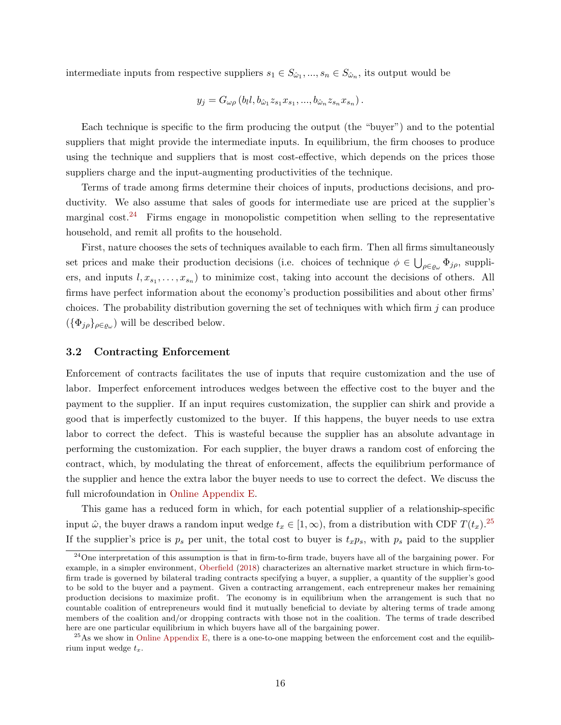intermediate inputs from respective suppliers  $s_1 \in S_{\hat{\omega}_1}, ..., s_n \in S_{\hat{\omega}_n}$ , its output would be

$$
y_j = G_{\omega\rho} (b_l l, b_{\hat{\omega}_1} z_{s_1} x_{s_1}, ..., b_{\hat{\omega}_n} z_{s_n} x_{s_n}).
$$

Each technique is specific to the firm producing the output (the "buyer") and to the potential suppliers that might provide the intermediate inputs. In equilibrium, the firm chooses to produce using the technique and suppliers that is most cost-effective, which depends on the prices those suppliers charge and the input-augmenting productivities of the technique.

Terms of trade among firms determine their choices of inputs, productions decisions, and productivity. We also assume that sales of goods for intermediate use are priced at the supplier's marginal  $\cosh^{24}$  $\cosh^{24}$  $\cosh^{24}$  Firms engage in monopolistic competition when selling to the representative household, and remit all profits to the household.

First, nature chooses the sets of techniques available to each firm. Then all firms simultaneously set prices and make their production decisions (i.e. choices of technique  $\phi \in \bigcup_{\rho \in \varrho_\omega} \Phi_{j\rho}$ , suppliers, and inputs  $l, x_{s_1}, \ldots, x_{s_n}$  to minimize cost, taking into account the decisions of others. All firms have perfect information about the economy's production possibilities and about other firms' choices. The probability distribution governing the set of techniques with which firm  $j$  can produce  $(\{\Phi_{j\rho}\}_{\rho \in \varrho_\omega})$  will be described below.

# <span id="page-16-2"></span>3.2 Contracting Enforcement

Enforcement of contracts facilitates the use of inputs that require customization and the use of labor. Imperfect enforcement introduces wedges between the effective cost to the buyer and the payment to the supplier. If an input requires customization, the supplier can shirk and provide a good that is imperfectly customized to the buyer. If this happens, the buyer needs to use extra labor to correct the defect. This is wasteful because the supplier has an absolute advantage in performing the customization. For each supplier, the buyer draws a random cost of enforcing the contract, which, by modulating the threat of enforcement, affects the equilibrium performance of the supplier and hence the extra labor the buyer needs to use to correct the defect. We discuss the full microfoundation in [Online Appendix E.](#page-0-0)

This game has a reduced form in which, for each potential supplier of a relationship-specific input  $\hat{\omega}$ , the buyer draws a random input wedge  $t_x \in [1, \infty)$ , from a distribution with CDF  $T(t_x)$ .<sup>[25](#page-16-1)</sup> If the supplier's price is  $p_s$  per unit, the total cost to buyer is  $t_xp_s$ , with  $p_s$  paid to the supplier

<span id="page-16-0"></span><sup>&</sup>lt;sup>24</sup>One interpretation of this assumption is that in firm-to-firm trade, buyers have all of the bargaining power. For example, in a simpler environment, [Oberfield](#page-38-1) [\(2018\)](#page-38-1) characterizes an alternative market structure in which firm-tofirm trade is governed by bilateral trading contracts specifying a buyer, a supplier, a quantity of the supplier's good to be sold to the buyer and a payment. Given a contracting arrangement, each entrepreneur makes her remaining production decisions to maximize profit. The economy is in equilibrium when the arrangement is such that no countable coalition of entrepreneurs would find it mutually beneficial to deviate by altering terms of trade among members of the coalition and/or dropping contracts with those not in the coalition. The terms of trade described here are one particular equilibrium in which buyers have all of the bargaining power.

<span id="page-16-1"></span> $^{25}$ As we show in [Online Appendix E,](#page-0-0) there is a one-to-one mapping between the enforcement cost and the equilibrium input wedge  $t_x$ .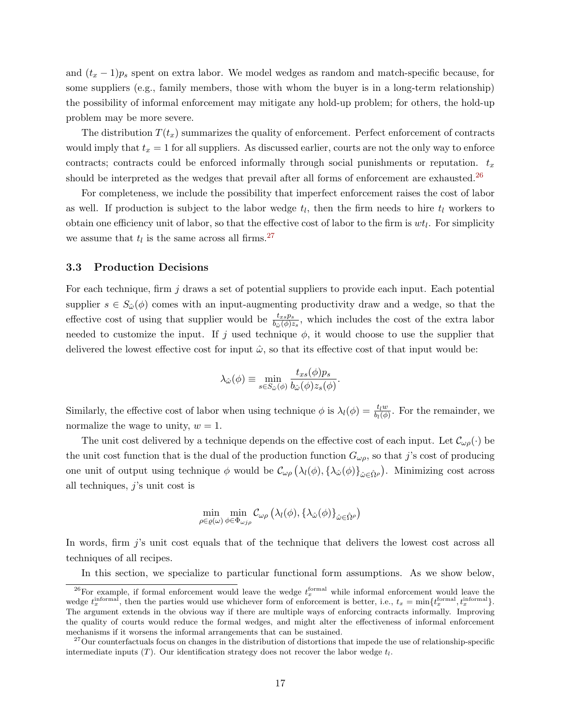and  $(t_x - 1)p_s$  spent on extra labor. We model wedges as random and match-specific because, for some suppliers (e.g., family members, those with whom the buyer is in a long-term relationship) the possibility of informal enforcement may mitigate any hold-up problem; for others, the hold-up problem may be more severe.

The distribution  $T(t_x)$  summarizes the quality of enforcement. Perfect enforcement of contracts would imply that  $t_x = 1$  for all suppliers. As discussed earlier, courts are not the only way to enforce contracts; contracts could be enforced informally through social punishments or reputation.  $t_x$ should be interpreted as the wedges that prevail after all forms of enforcement are exhausted.<sup>[26](#page-17-0)</sup>

For completeness, we include the possibility that imperfect enforcement raises the cost of labor as well. If production is subject to the labor wedge  $t_l$ , then the firm needs to hire  $t_l$  workers to obtain one efficiency unit of labor, so that the effective cost of labor to the firm is  $wt_l$ . For simplicity we assume that  $t_l$  is the same across all firms.<sup>[27](#page-17-1)</sup>

#### 3.3 Production Decisions

For each technique, firm  $j$  draws a set of potential suppliers to provide each input. Each potential supplier  $s \in S_{\hat{\omega}}(\phi)$  comes with an input-augmenting productivity draw and a wedge, so that the effective cost of using that supplier would be  $\frac{t_{xs}p_s}{b_{\omega}(\phi)z_s}$ , which includes the cost of the extra labor needed to customize the input. If j used technique  $\phi$ , it would choose to use the supplier that delivered the lowest effective cost for input  $\hat{\omega}$ , so that its effective cost of that input would be:

$$
\lambda_{\hat{\omega}}(\phi) \equiv \min_{s \in S_{\hat{\omega}}(\phi)} \frac{t_{xs}(\phi)p_s}{b_{\hat{\omega}}(\phi)z_s(\phi)}.
$$

Similarly, the effective cost of labor when using technique  $\phi$  is  $\lambda_l(\phi) = \frac{t_l w}{b_l(\phi)}$ . For the remainder, we normalize the wage to unity,  $w = 1$ .

The unit cost delivered by a technique depends on the effective cost of each input. Let  $\mathcal{C}_{\omega\rho}(\cdot)$  be the unit cost function that is the dual of the production function  $G_{\omega\rho}$ , so that j's cost of producing one unit of output using technique  $\phi$  would be  $\mathcal{C}_{\omega\rho}(\lambda_l(\phi), {\lambda_{\hat{\omega}}(\phi)}_{\hat{\omega}\in{\hat{\Omega}}^{\rho}})$ . Minimizing cost across all techniques,  $j$ 's unit cost is

$$
\min_{\rho \in \varrho(\omega)} \min_{\phi \in \Phi_{\omega j\rho}} \mathcal{C}_{\omega \rho} \left( \lambda_l(\phi), \{\lambda_{\hat{\omega}}(\phi)\}_{\hat{\omega} \in \hat{\Omega}^{\rho}} \right)
$$

In words, firm j's unit cost equals that of the technique that delivers the lowest cost across all techniques of all recipes.

In this section, we specialize to particular functional form assumptions. As we show below,

<span id="page-17-0"></span><sup>&</sup>lt;sup>26</sup>For example, if formal enforcement would leave the wedge  $t_x^{\text{formal}}$  while informal enforcement would leave the wedge  $t_x^{\text{informal}}$ , then the parties would use whichever form of enforcement is better, i.e.,  $t_x = \min\{t_x^{\text{formal}}, t_x^{\text{informal}}\}$ . The argument extends in the obvious way if there are multiple ways of enforcing contracts informally. Improving the quality of courts would reduce the formal wedges, and might alter the effectiveness of informal enforcement mechanisms if it worsens the informal arrangements that can be sustained.

<span id="page-17-1"></span> $27$ Our counterfactuals focus on changes in the distribution of distortions that impede the use of relationship-specific intermediate inputs  $(T)$ . Our identification strategy does not recover the labor wedge  $t_l$ .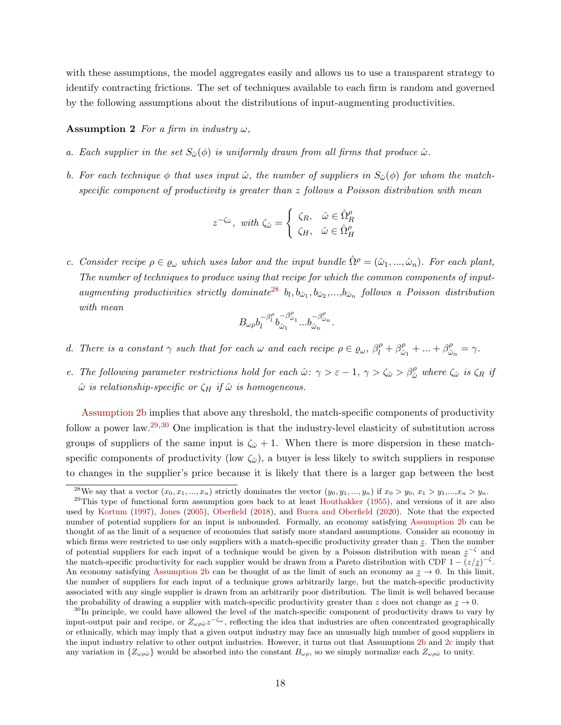with these assumptions, the model aggregates easily and allows us to use a transparent strategy to identify contracting frictions. The set of techniques available to each firm is random and governed by the following assumptions about the distributions of input-augmenting productivities.

#### <span id="page-18-1"></span>**Assumption 2** For a firm in industry  $\omega$ ,

- a. Each supplier in the set  $S_{\hat{\omega}}(\phi)$  is uniformly drawn from all firms that produce  $\hat{\omega}$ .
- <span id="page-18-2"></span>b. For each technique  $\phi$  that uses input  $\hat{\omega}$ , the number of suppliers in  $S_{\hat{\omega}}(\phi)$  for whom the matchspecific component of productivity is greater than  $z$  follows a Poisson distribution with mean

$$
z^{-\zeta_{\hat{\omega}}}, \ \ with \ \zeta_{\hat{\omega}} = \begin{cases} \ \zeta_R, & \hat{\omega} \in \hat{\Omega}^\rho_R \\ \ \zeta_H, & \hat{\omega} \in \hat{\Omega}^\rho_H \end{cases}
$$

<span id="page-18-5"></span>c. Consider recipe  $\rho \in \varrho_\omega$  which uses labor and the input bundle  $\hat{\Omega}^\rho = (\hat{\omega}_1, ..., \hat{\omega}_n)$ . For each plant, The number of techniques to produce using that recipe for which the common components of input-augmenting productivities strictly dominate<sup>[28](#page-18-0)</sup>  $b_l, b_{\hat{\omega}_1}, b_{\hat{\omega}_2},..., b_{\hat{\omega}_n}$  follows a Poisson distribution with mean

$$
B_{\omega\rho}b_l^{-\beta_l^{\rho}}b_{\hat{\omega}_1}^{-\beta_{\hat{\omega}_1}^{\rho}}...b_{\hat{\omega}_n}^{-\beta_{\hat{\omega}_n}^{\rho}}.
$$

- <span id="page-18-6"></span>d. There is a constant  $\gamma$  such that for each  $\omega$  and each recipe  $\rho \in \varrho_{\omega}, \beta_l^{\rho} + \beta_{\hat{\omega}}^{\rho}$  $\hat{\omega}_1 + \dots + \beta^{\rho}_{\hat{\omega}}$  $\frac{\rho}{\hat{\omega}_n}=\gamma.$
- e. The following parameter restrictions hold for each  $\hat{\omega}$ :  $\gamma > \varepsilon 1$ ,  $\gamma > \zeta_{\hat{\omega}} > \beta_{\hat{\omega}}^{\rho}$  where  $\zeta_{\hat{\omega}}$  is  $\zeta_R$  if  $\hat{\omega}$  is relationship-specific or  $\zeta_H$  if  $\hat{\omega}$  is homogeneous.

[Assumption 2](#page-18-1)[b](#page-18-2) implies that above any threshold, the match-specific components of productivity follow a power law.<sup>[29](#page-18-3),[30](#page-18-4)</sup> One implication is that the industry-level elasticity of substitution across groups of suppliers of the same input is  $\zeta_{\hat{\omega}}+1$ . When there is more dispersion in these matchspecific components of productivity (low  $\zeta_{\omega}$ ), a buyer is less likely to switch suppliers in response to changes in the supplier's price because it is likely that there is a larger gap between the best

<span id="page-18-3"></span><span id="page-18-0"></span><sup>&</sup>lt;sup>28</sup>We say that a vector  $(x_0, x_1, ..., x_n)$  strictly dominates the vector  $(y_0, y_1, ..., y_n)$  if  $x_0 > y_0, x_1 > y_1, ..., x_n > y_n$ .

 $29$ This type of functional form assumption goes back to at least [Houthakker](#page-36-0) [\(1955\)](#page-36-0), and versions of it are also used by [Kortum](#page-37-16) [\(1997\)](#page-37-16), [Jones](#page-37-3) [\(2005\)](#page-37-3), [Oberfield](#page-38-1) [\(2018\)](#page-38-1), and [Buera and Oberfield](#page-36-15) [\(2020\)](#page-36-15). Note that the expected number of potential suppliers for an input is unbounded. Formally, an economy satisfying [Assumption 2](#page-18-1)[b](#page-18-2) can be thought of as the limit of a sequence of economies that satisfy more standard assumptions. Consider an economy in which firms were restricted to use only suppliers with a match-specific productivity greater than  $z$ . Then the number of potential suppliers for each input of a technique would be given by a Poisson distribution with mean  $z^{-\zeta}$  and the match-specific productivity for each supplier would be drawn from a Pareto distribution with CDF  $1 - (z/\overline{z})^{-\zeta}$ . An economy satisfying [Assumption 2](#page-18-1)[b](#page-18-2) can be thought of as the limit of such an economy as  $z \to 0$ . In this limit, the number of suppliers for each input of a technique grows arbitrarily large, but the match-specific productivity associated with any single supplier is drawn from an arbitrarily poor distribution. The limit is well behaved because the probability of drawing a supplier with match-specific productivity greater than z does not change as  $z \to 0$ .

<span id="page-18-4"></span><sup>&</sup>lt;sup>30</sup>In principle, we could have allowed the level of the match-specific component of productivity draws to vary by input-output pair and recipe, or  $Z_{\omega\rho\hat{\omega}}z^{-\zeta_{\omega}}$ , reflecting the idea that industries are often concentrated geographically or ethnically, which may imply that a given output industry may face an unusually high number of good suppliers in the input industry relative to other output industries. However, it turns out that Assumptions [2](#page-18-1)[b](#page-18-2) and [2](#page-18-1)[c](#page-18-5) imply that any variation in  $\{Z_{\omega\rho\hat{\omega}}\}$  would be absorbed into the constant  $B_{\omega\rho}$ , so we simply normalize each  $Z_{\omega\rho\hat{\omega}}$  to unity.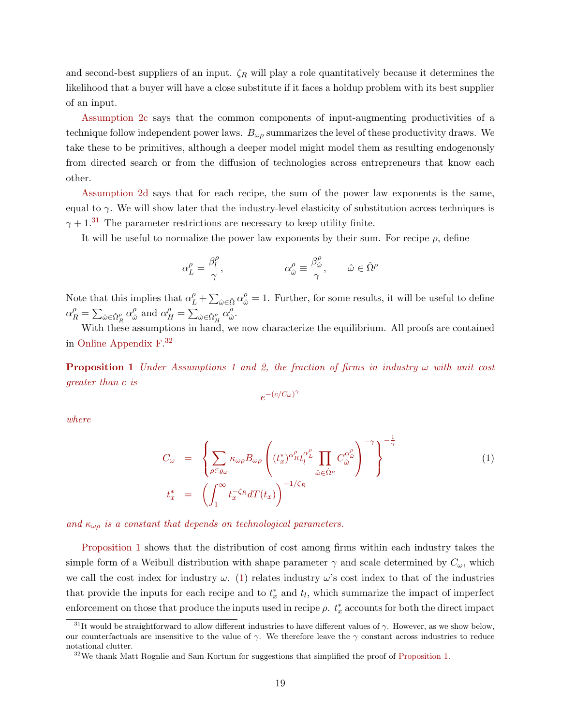and second-best suppliers of an input.  $\zeta_R$  will play a role quantitatively because it determines the likelihood that a buyer will have a close substitute if it faces a holdup problem with its best supplier of an input.

[Assumption 2](#page-18-1)[c](#page-18-5) says that the common components of input-augmenting productivities of a technique follow independent power laws.  $B_{\omega\rho}$  summarizes the level of these productivity draws. We take these to be primitives, although a deeper model might model them as resulting endogenously from directed search or from the diffusion of technologies across entrepreneurs that know each other.

[Assumption 2](#page-18-1)[d](#page-18-6) says that for each recipe, the sum of the power law exponents is the same, equal to  $\gamma$ . We will show later that the industry-level elasticity of substitution across techniques is  $\gamma + 1$ <sup>[31](#page-19-0)</sup> The parameter restrictions are necessary to keep utility finite.

It will be useful to normalize the power law exponents by their sum. For recipe  $\rho$ , define

$$
\alpha_L^\rho = \frac{\beta_l^\rho}{\gamma}, \qquad \qquad \alpha_{\hat{\omega}}^\rho \equiv \frac{\beta_{\hat{\omega}}^\rho}{\gamma}, \qquad \hat{\omega} \in \hat{\Omega}^\rho
$$

Note that this implies that  $\alpha_L^{\rho} + \sum_{\hat{\omega} \in \hat{\Omega}} \alpha_{\hat{\omega}}^{\rho} = 1$ . Further, for some results, it will be useful to define  $\alpha_R^{\rho} = \sum_{\hat{\omega} \in \hat{\Omega}_R^{\rho}} \alpha_{\hat{\omega}}^{\rho}$  $\frac{\rho}{\hat{\omega}}$  and  $\alpha_H^{\rho} = \sum_{\hat{\omega} \in \hat{\Omega}_H^{\rho}} \alpha_{\hat{\omega}}^{\rho}$ ρ<br>ŵ

With these assumptions in hand, we now characterize the equilibrium. All proofs are contained in [Online Appendix F.](#page-0-0) [32](#page-19-1)

<span id="page-19-2"></span>**Proposition [1](#page-15-0)** Under Assumptions 1 and [2,](#page-18-1) the fraction of firms in industry  $\omega$  with unit cost greater than c is

$$
e^{-(c/C_\omega)^\gamma}
$$

where

<span id="page-19-3"></span>
$$
C_{\omega} = \left\{ \sum_{\rho \in \varrho_{\omega}} \kappa_{\omega\rho} B_{\omega\rho} \left( (t_x^*)^{\alpha_R^{\rho}} t_l^{\alpha_L^{\rho}} \prod_{\hat{\omega} \in \hat{\Omega}^{\rho}} C_{\hat{\omega}}^{\alpha_{\hat{\omega}}^{\rho}} \right)^{-\gamma} \right\}^{-\frac{1}{\gamma}}
$$
(1)  

$$
t_x^* = \left( \int_1^{\infty} t_x^{-\zeta_R} dT(t_x) \right)^{-1/\zeta_R}
$$

and  $\kappa_{\omega\rho}$  is a constant that depends on technological parameters.

[Proposition 1](#page-19-2) shows that the distribution of cost among firms within each industry takes the simple form of a Weibull distribution with shape parameter  $\gamma$  and scale determined by  $C_{\omega}$ , which we call the cost index for industry  $\omega$ . [\(1\)](#page-19-3) relates industry  $\omega$ 's cost index to that of the industries that provide the inputs for each recipe and to  $t_x^*$  and  $t_l$ , which summarize the impact of imperfect enforcement on those that produce the inputs used in recipe  $\rho$ .  $t_x^*$  accounts for both the direct impact

<span id="page-19-0"></span><sup>&</sup>lt;sup>31</sup>It would be straightforward to allow different industries to have different values of  $\gamma$ . However, as we show below, our counterfactuals are insensitive to the value of  $\gamma$ . We therefore leave the  $\gamma$  constant across industries to reduce notational clutter.

<span id="page-19-1"></span><sup>&</sup>lt;sup>32</sup>We thank Matt Rognlie and Sam Kortum for suggestions that simplified the proof of [Proposition 1.](#page-19-2)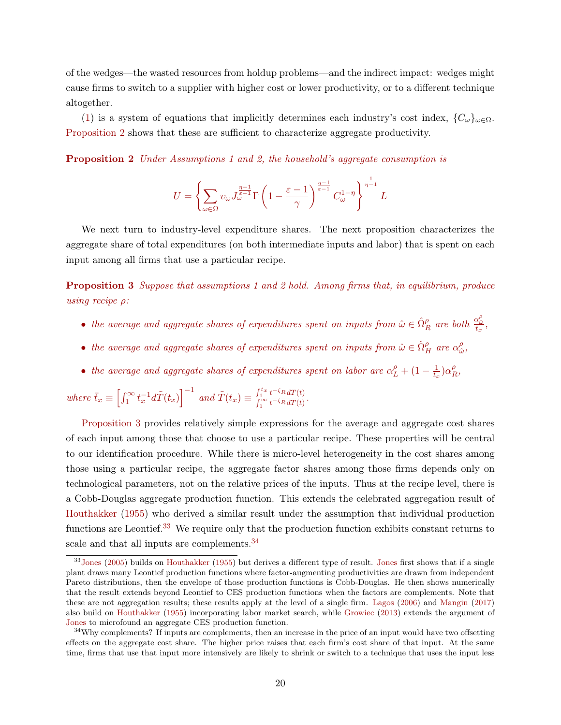of the wedges—the wasted resources from holdup problems—and the indirect impact: wedges might cause firms to switch to a supplier with higher cost or lower productivity, or to a different technique altogether.

[\(1\)](#page-19-3) is a system of equations that implicitly determines each industry's cost index,  ${C_\omega}_{\omega \in \Omega}$ . [Proposition 2](#page-20-0) shows that these are sufficient to characterize aggregate productivity.

<span id="page-20-0"></span>Proposition 2 Under Assumptions [1](#page-15-0) and [2,](#page-18-1) the household's aggregate consumption is

$$
U = \left\{\sum_{\omega \in \Omega} \upsilon_{\omega} J_{\omega}^{\frac{\eta-1}{\varepsilon-1}} \Gamma\left(1 - \frac{\varepsilon-1}{\gamma}\right)^{\frac{\eta-1}{\varepsilon-1}} C_{\omega}^{1-\eta}\right\}^{\frac{1}{\eta-1}} L
$$

We next turn to industry-level expenditure shares. The next proposition characterizes the aggregate share of total expenditures (on both intermediate inputs and labor) that is spent on each input among all firms that use a particular recipe.

<span id="page-20-1"></span>**Proposition 3** Suppose that assumptions [1](#page-15-0) and [2](#page-18-1) hold. Among firms that, in equilibrium, produce using recipe ρ:

- the average and aggregate shares of expenditures spent on inputs from  $\hat{\omega} \in \hat{\Omega}_R^{\rho}$  are both  $\frac{\alpha_{\hat{\omega}}^{\rho}}{t_x}$ ,
- the average and aggregate shares of expenditures spent on inputs from  $\hat{\omega} \in \hat{\Omega}^{\rho}_H$  are  $\alpha^{\rho}_{\hat{\omega}}$  $_{\hat{\omega}}^{\rho},$
- the average and aggregate shares of expenditures spent on labor are  $\alpha_L^{\rho} + (1 \frac{1}{t_x})\alpha_F^{\rho}$  $^{\rho}_{R},$

where  $\bar{t}_x \equiv \left[ \int_1^\infty t_x^{-1} d\tilde{T}(t_x) \right]^{-1}$  and  $\tilde{T}(t_x) \equiv \frac{\int_1^{t_x} t^{-\zeta_R} dT(t)}{\int_1^\infty t^{-\zeta_R} dT(t)}$  $\frac{\int_1^{\infty} t^{-\zeta_R} dt(t)}{\int_1^{\infty} t^{-\zeta_R} dT(t)}$ 

[Proposition 3](#page-20-1) provides relatively simple expressions for the average and aggregate cost shares of each input among those that choose to use a particular recipe. These properties will be central to our identification procedure. While there is micro-level heterogeneity in the cost shares among those using a particular recipe, the aggregate factor shares among those firms depends only on technological parameters, not on the relative prices of the inputs. Thus at the recipe level, there is a Cobb-Douglas aggregate production function. This extends the celebrated aggregation result of [Houthakker](#page-36-0) [\(1955\)](#page-36-0) who derived a similar result under the assumption that individual production functions are Leontief.<sup>[33](#page-20-2)</sup> We require only that the production function exhibits constant returns to scale and that all inputs are complements.<sup>[34](#page-20-3)</sup>

<span id="page-20-2"></span><sup>&</sup>lt;sup>33</sup>[Jones](#page-37-3) [\(2005\)](#page-37-3) builds on [Houthakker](#page-36-0) [\(1955\)](#page-36-0) but derives a different type of result. Jones first shows that if a single plant draws many Leontief production functions where factor-augmenting productivities are drawn from independent Pareto distributions, then the envelope of those production functions is Cobb-Douglas. He then shows numerically that the result extends beyond Leontief to CES production functions when the factors are complements. Note that these are not aggregation results; these results apply at the level of a single firm. [Lagos](#page-37-17) [\(2006\)](#page-37-17) and [Mangin](#page-37-18) [\(2017\)](#page-37-18) also build on [Houthakker](#page-36-0) [\(1955\)](#page-36-0) incorporating labor market search, while [Growiec](#page-36-16) [\(2013\)](#page-36-16) extends the argument of [Jones](#page-37-3) to microfound an aggregate CES production function.

<span id="page-20-3"></span><sup>&</sup>lt;sup>34</sup>Why complements? If inputs are complements, then an increase in the price of an input would have two offsetting effects on the aggregate cost share. The higher price raises that each firm's cost share of that input. At the same time, firms that use that input more intensively are likely to shrink or switch to a technique that uses the input less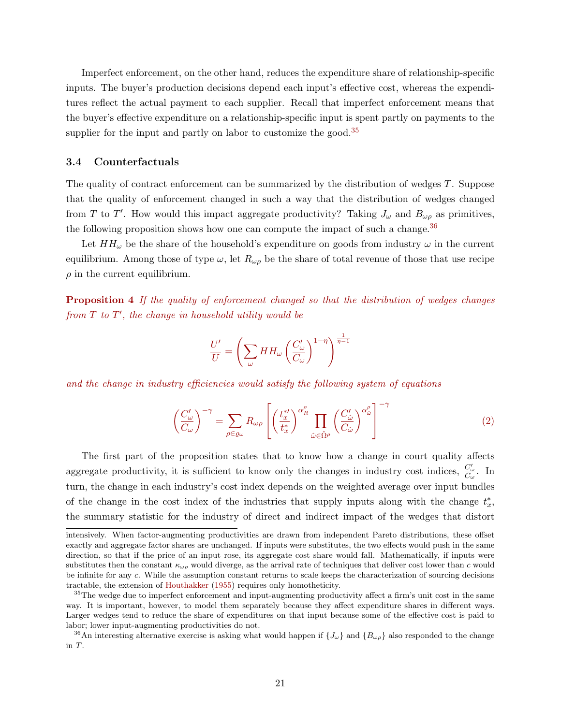Imperfect enforcement, on the other hand, reduces the expenditure share of relationship-specific inputs. The buyer's production decisions depend each input's effective cost, whereas the expenditures reflect the actual payment to each supplier. Recall that imperfect enforcement means that the buyer's effective expenditure on a relationship-specific input is spent partly on payments to the supplier for the input and partly on labor to customize the good.<sup>[35](#page-21-0)</sup>

### 3.4 Counterfactuals

The quality of contract enforcement can be summarized by the distribution of wedges T. Suppose that the quality of enforcement changed in such a way that the distribution of wedges changed from T to T'. How would this impact aggregate productivity? Taking  $J_{\omega}$  and  $B_{\omega\rho}$  as primitives, the following proposition shows how one can compute the impact of such a change.<sup>[36](#page-21-1)</sup>

Let  $HH_{\omega}$  be the share of the household's expenditure on goods from industry  $\omega$  in the current equilibrium. Among those of type  $\omega$ , let  $R_{\omega\rho}$  be the share of total revenue of those that use recipe  $\rho$  in the current equilibrium.

<span id="page-21-3"></span>Proposition 4 If the quality of enforcement changed so that the distribution of wedges changes from  $T$  to  $T'$ , the change in household utility would be

$$
\frac{U'}{U} = \left(\sum_{\omega} HH_{\omega} \left(\frac{C_{\omega}'}{C_{\omega}}\right)^{1-\eta}\right)^{\frac{1}{\eta-1}}
$$

and the change in industry efficiencies would satisfy the following system of equations

<span id="page-21-2"></span>
$$
\left(\frac{C'_{\omega}}{C_{\omega}}\right)^{-\gamma} = \sum_{\rho \in \varrho_{\omega}} R_{\omega\rho} \left[ \left(\frac{t_x^{*\prime}}{t_x^{*\prime}}\right)^{\alpha_R^{\rho}} \prod_{\hat{\omega} \in \hat{\Omega}^{\rho}} \left(\frac{C'_{\hat{\omega}}}{C_{\hat{\omega}}}\right)^{\alpha_{\hat{\omega}}^{\rho}} \right]^{-\gamma} \tag{2}
$$

The first part of the proposition states that to know how a change in court quality affects aggregate productivity, it is sufficient to know only the changes in industry cost indices,  $\frac{C'_{\omega}}{C_{\omega}}$ . In turn, the change in each industry's cost index depends on the weighted average over input bundles of the change in the cost index of the industries that supply inputs along with the change  $t^*_x$ , the summary statistic for the industry of direct and indirect impact of the wedges that distort

intensively. When factor-augmenting productivities are drawn from independent Pareto distributions, these offset exactly and aggregate factor shares are unchanged. If inputs were substitutes, the two effects would push in the same direction, so that if the price of an input rose, its aggregate cost share would fall. Mathematically, if inputs were substitutes then the constant  $\kappa_{\omega\rho}$  would diverge, as the arrival rate of techniques that deliver cost lower than c would be infinite for any c. While the assumption constant returns to scale keeps the characterization of sourcing decisions tractable, the extension of [Houthakker](#page-36-0) [\(1955\)](#page-36-0) requires only homotheticity.

<span id="page-21-0"></span><sup>&</sup>lt;sup>35</sup>The wedge due to imperfect enforcement and input-augmenting productivity affect a firm's unit cost in the same way. It is important, however, to model them separately because they affect expenditure shares in different ways. Larger wedges tend to reduce the share of expenditures on that input because some of the effective cost is paid to labor; lower input-augmenting productivities do not.

<span id="page-21-1"></span><sup>&</sup>lt;sup>36</sup>An interesting alternative exercise is asking what would happen if  ${J_\omega}$  and  ${B_{\omega\rho}}$  also responded to the change in T.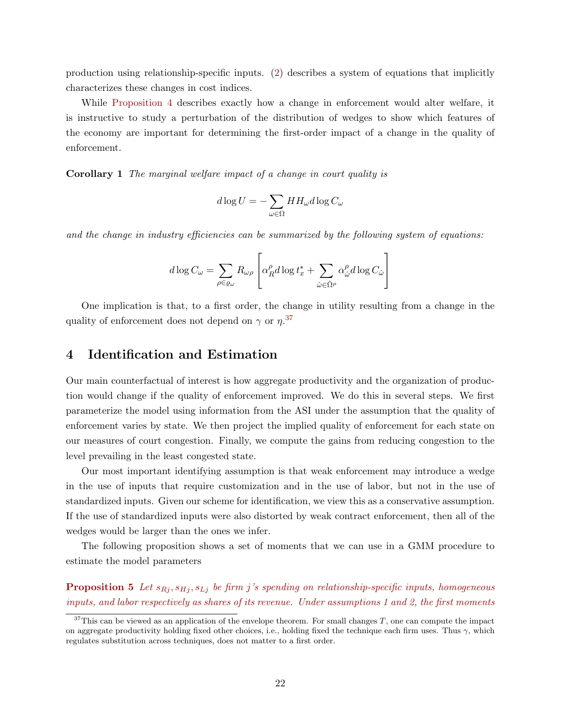production using relationship-specific inputs. [\(2\)](#page-21-2) describes a system of equations that implicitly characterizes these changes in cost indices.

While [Proposition 4](#page-21-3) describes exactly how a change in enforcement would alter welfare, it is instructive to study a perturbation of the distribution of wedges to show which features of the economy are important for determining the first-order impact of a change in the quality of enforcement.

Corollary 1 The marginal welfare impact of a change in court quality is

$$
d\log U = -\sum_{\omega \in \Omega} HH_{\omega}d\log C_{\omega}
$$

and the change in industry efficiencies can be summarized by the following system of equations:

$$
d\log C_{\omega} = \sum_{\rho \in \varrho_{\omega}} R_{\omega\rho} \left[ \alpha_{R}^{\rho} d \log t_{x}^{*} + \sum_{\hat{\omega} \in \hat{\Omega}^{\rho}} \alpha_{\hat{\omega}}^{\rho} d \log C_{\hat{\omega}} \right]
$$

One implication is that, to a first order, the change in utility resulting from a change in the quality of enforcement does not depend on  $\gamma$  or  $\eta$ .<sup>[37](#page-22-0)</sup>

# 4 Identification and Estimation

Our main counterfactual of interest is how aggregate productivity and the organization of production would change if the quality of enforcement improved. We do this in several steps. We first parameterize the model using information from the ASI under the assumption that the quality of enforcement varies by state. We then project the implied quality of enforcement for each state on our measures of court congestion. Finally, we compute the gains from reducing congestion to the level prevailing in the least congested state.

Our most important identifying assumption is that weak enforcement may introduce a wedge in the use of inputs that require customization and in the use of labor, but not in the use of standardized inputs. Given our scheme for identification, we view this as a conservative assumption. If the use of standardized inputs were also distorted by weak contract enforcement, then all of the wedges would be larger than the ones we infer.

The following proposition shows a set of moments that we can use in a GMM procedure to estimate the model parameters

<span id="page-22-1"></span>**Proposition 5** Let  $s_{Rj}, s_{Hj}, s_{Lj}$  be firm j's spending on relationship-specific inputs, homogeneous inputs, and labor respectively as shares of its revenue. Under assumptions [1](#page-15-0) and [2,](#page-18-1) the first moments

<span id="page-22-0"></span> $37$ This can be viewed as an application of the envelope theorem. For small changes T, one can compute the impact on aggregate productivity holding fixed other choices, i.e., holding fixed the technique each firm uses. Thus  $\gamma$ , which regulates substitution across techniques, does not matter to a first order.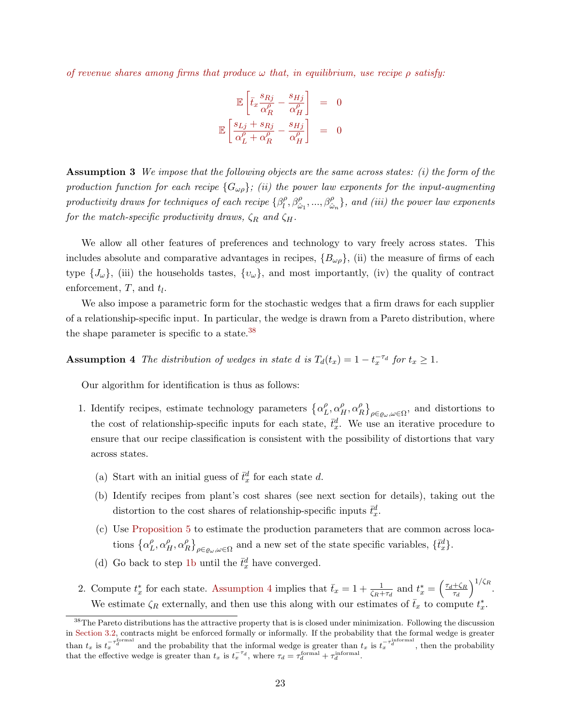of revenue shares among firms that produce  $\omega$  that, in equilibrium, use recipe  $\rho$  satisfy:

$$
\mathbb{E}\left[\bar{t}_x \frac{s_{Rj}}{\alpha_R^{\rho}} - \frac{s_{Hj}}{\alpha_H^{\rho}}\right] = 0
$$
  

$$
\mathbb{E}\left[\frac{s_{Lj} + s_{Rj}}{\alpha_L^{\rho} + \alpha_R^{\rho}} - \frac{s_{Hj}}{\alpha_H^{\rho}}\right] = 0
$$

**Assumption 3** We impose that the following objects are the same across states: (i) the form of the production function for each recipe  ${G_{\omega\rho}}$ ; (ii) the power law exponents for the input-augmenting productivity draws for techniques of each recipe  $\{\beta_l^{\rho}\}$  $\{\beta^{\rho}_{i}, \beta^{\rho}_{\beta}, ..., \beta^{\rho}_{\hat{\omega}_n}\},$  and (iii) the power law exponents for the match-specific productivity draws,  $\zeta_R$  and  $\zeta_H$ .

We allow all other features of preferences and technology to vary freely across states. This includes absolute and comparative advantages in recipes,  $\{B_{\omega\rho}\}\$ , (ii) the measure of firms of each type  $\{J_\omega\}$ , (iii) the households tastes,  $\{v_\omega\}$ , and most importantly, (iv) the quality of contract enforcement,  $T$ , and  $t_l$ .

We also impose a parametric form for the stochastic wedges that a firm draws for each supplier of a relationship-specific input. In particular, the wedge is drawn from a Pareto distribution, where the shape parameter is specific to a state.[38](#page-23-0)

<span id="page-23-2"></span>**Assumption 4** The distribution of wedges in state d is  $T_d(t_x) = 1 - t_x^{-\tau_d}$  for  $t_x \ge 1$ .

Our algorithm for identification is thus as follows:

- <span id="page-23-1"></span>1. Identify recipes, estimate technology parameters  $\{\alpha_I^{\rho}$  $_{L}^{\rho},\alpha_{H}^{\rho},\alpha_{B}^{\rho}$  $R \big\}^{\rho}_{\rho \in \varrho_{\omega}, \omega \in \Omega}$ , and distortions to the cost of relationship-specific inputs for each state,  $\bar{t}_x^d$ . We use an iterative procedure to ensure that our recipe classification is consistent with the possibility of distortions that vary across states.
	- (a) Start with an initial guess of  $\bar{t}_x^d$  for each state d.
	- (b) Identify recipes from plant's cost shares (see next section for details), taking out the distortion to the cost shares of relationship-specific inputs  $\bar{t}_x^d$ .
	- (c) Use [Proposition 5](#page-22-1) to estimate the production parameters that are common across locations  $\{\alpha_I^{\rho}$  $_{L}^{\rho},\alpha_{H}^{\rho},\alpha_{B}^{\rho}$  $R^{\rho}$ ,  $R^{\rho}$ <sub> $\rho \in \varrho_{\omega}, \omega \in \Omega$ </sub> and a new set of the state specific variables,  $\{\bar{t}_x^d\}$ .
	- (d) Go back to step [1b](#page-23-1) until the  $\bar{t}_x^d$  have converged.
- 2. Compute  $t_x^*$  for each state. [Assumption 4](#page-23-2) implies that  $\bar{t}_x = 1 + \frac{1}{\zeta_R + \tau_d}$  and  $t_x^* = \left(\frac{\tau_d + \zeta_R}{\tau_d}\right)$  $\tau_d$  $\big)^{1/\zeta_R}$ . We estimate  $\zeta_R$  externally, and then use this along with our estimates of  $\bar{t}_x$  to compute  $t_x^*$ .

<span id="page-23-0"></span><sup>&</sup>lt;sup>38</sup>The Pareto distributions has the attractive property that is is closed under minimization. Following the discussion in [Section 3.2,](#page-16-2) contracts might be enforced formally or informally. If the probability that the formal wedge is greater than  $t_x$  is  $t_x^{-\tau_d^{\text{formal}}}$  and the probability that the informal wedge is greater than  $t_x$  is  $t_x^{-\tau_d^{\text{informal}}}$ , then the probability that the effective wedge is greater than  $t_x$  is  $t_x^{-\tau_d}$ , where  $\tau_d = \tau_d^{\text{formal}} + \tau_d^{\text{informal}}$ .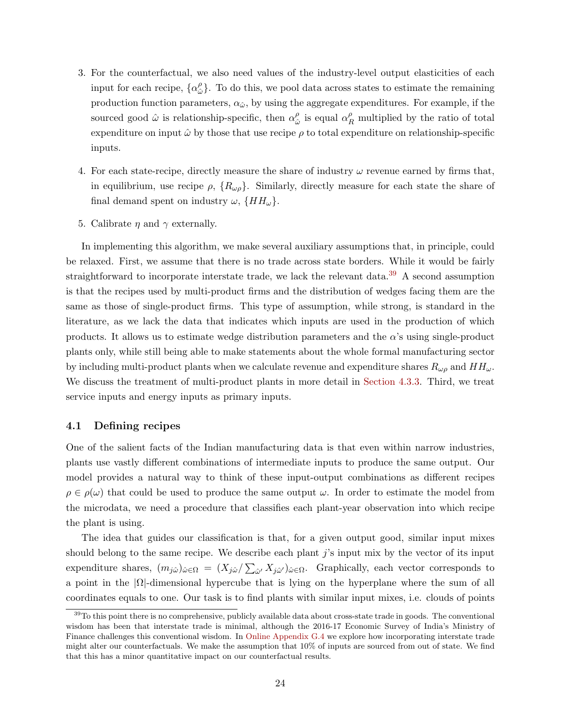- 3. For the counterfactual, we also need values of the industry-level output elasticities of each input for each recipe,  $\{\alpha_i^{\rho}$  $\hat{\omega}$ . To do this, we pool data across states to estimate the remaining production function parameters,  $\alpha_{\hat{\omega}}$ , by using the aggregate expenditures. For example, if the sourced good  $\hat{\omega}$  is relationship-specific, then  $\alpha_{\hat{\omega}}^{\rho}$  $\frac{\rho}{\hat{\omega}}$  is equal  $\alpha_R^{\rho}$  multiplied by the ratio of total expenditure on input  $\hat{\omega}$  by those that use recipe  $\rho$  to total expenditure on relationship-specific inputs.
- 4. For each state-recipe, directly measure the share of industry  $\omega$  revenue earned by firms that, in equilibrium, use recipe  $\rho$ ,  $\{R_{\omega\rho}\}\$ . Similarly, directly measure for each state the share of final demand spent on industry  $\omega$ ,  $\{HH_{\omega}\}.$
- 5. Calibrate  $\eta$  and  $\gamma$  externally.

In implementing this algorithm, we make several auxiliary assumptions that, in principle, could be relaxed. First, we assume that there is no trade across state borders. While it would be fairly straightforward to incorporate interstate trade, we lack the relevant data.<sup>[39](#page-24-0)</sup> A second assumption is that the recipes used by multi-product firms and the distribution of wedges facing them are the same as those of single-product firms. This type of assumption, while strong, is standard in the literature, as we lack the data that indicates which inputs are used in the production of which products. It allows us to estimate wedge distribution parameters and the  $\alpha$ 's using single-product plants only, while still being able to make statements about the whole formal manufacturing sector by including multi-product plants when we calculate revenue and expenditure shares  $R_{\omega\rho}$  and  $HH_{\omega}$ . We discuss the treatment of multi-product plants in more detail in [Section 4.3.3.](#page-29-0) Third, we treat service inputs and energy inputs as primary inputs.

### 4.1 Defining recipes

One of the salient facts of the Indian manufacturing data is that even within narrow industries, plants use vastly different combinations of intermediate inputs to produce the same output. Our model provides a natural way to think of these input-output combinations as different recipes  $\rho \in \rho(\omega)$  that could be used to produce the same output  $\omega$ . In order to estimate the model from the microdata, we need a procedure that classifies each plant-year observation into which recipe the plant is using.

The idea that guides our classification is that, for a given output good, similar input mixes should belong to the same recipe. We describe each plant  $j$ 's input mix by the vector of its input expenditure shares,  $(m_{j\hat{\omega}})_{\hat{\omega}\in\Omega} = (X_{j\hat{\omega}}/\sum_{\hat{\omega}} X_{j\hat{\omega}})_{\hat{\omega}\in\Omega}$ . Graphically, each vector corresponds to a point in the  $|\Omega|$ -dimensional hypercube that is lying on the hyperplane where the sum of all coordinates equals to one. Our task is to find plants with similar input mixes, i.e. clouds of points

<span id="page-24-0"></span> $39T$ o this point there is no comprehensive, publicly available data about cross-state trade in goods. The conventional wisdom has been that interstate trade is minimal, although the 2016-17 Economic Survey of India's Ministry of Finance challenges this conventional wisdom. In [Online Appendix G.4](#page-0-0) we explore how incorporating interstate trade might alter our counterfactuals. We make the assumption that 10% of inputs are sourced from out of state. We find that this has a minor quantitative impact on our counterfactual results.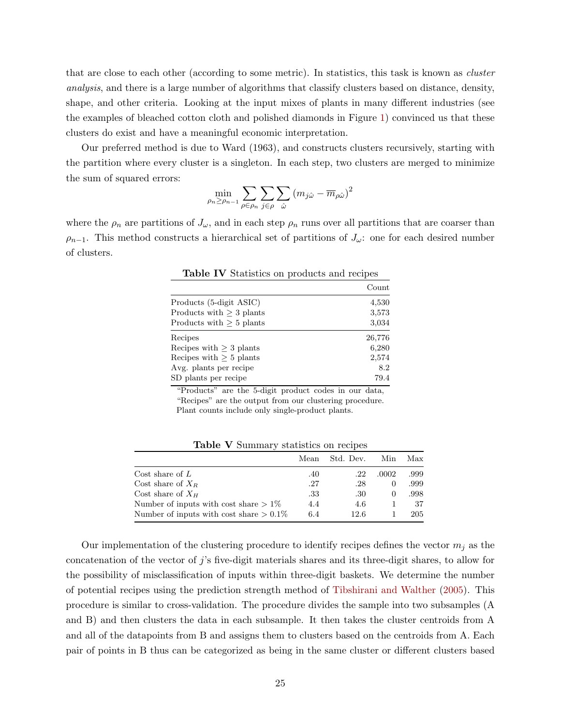that are close to each other (according to some metric). In statistics, this task is known as cluster analysis, and there is a large number of algorithms that classify clusters based on distance, density, shape, and other criteria. Looking at the input mixes of plants in many different industries (see the examples of bleached cotton cloth and polished diamonds in Figure [1\)](#page-5-0) convinced us that these clusters do exist and have a meaningful economic interpretation.

Our preferred method is due to Ward (1963), and constructs clusters recursively, starting with the partition where every cluster is a singleton. In each step, two clusters are merged to minimize the sum of squared errors:

$$
\min_{\rho_n \ge \rho_{n-1}} \sum_{\rho \in \rho_n} \sum_{j \in \rho} \sum_{\hat{\omega}} (m_{j\hat{\omega}} - \overline{m}_{\rho \hat{\omega}})^2
$$

where the  $\rho_n$  are partitions of  $J_\omega$ , and in each step  $\rho_n$  runs over all partitions that are coarser than  $\rho_{n-1}$ . This method constructs a hierarchical set of partitions of  $J_{\omega}$ : one for each desired number of clusters.

|                               | Count  |
|-------------------------------|--------|
| Products (5-digit ASIC)       | 4,530  |
| Products with $\geq 3$ plants | 3,573  |
| Products with $\geq 5$ plants | 3,034  |
| Recipes                       | 26,776 |
| Recipes with $>$ 3 plants     | 6,280  |
| Recipes with $> 5$ plants     | 2,574  |
| Avg. plants per recipe.       | 8.2    |
| SD plants per recipe          | 79.4   |

<span id="page-25-0"></span>Table IV Statistics on products and recipes

"Products" are the 5-digit product codes in our data, "Recipes" are the output from our clustering procedure. Plant counts include only single-product plants.

Table V Summary statistics on recipes

|                                            | Mean | Std. Dev. | Min      | Max  |
|--------------------------------------------|------|-----------|----------|------|
| Cost share of $L$                          | .40  | .22       | .0002    | .999 |
| Cost share of $X_R$                        | .27  | .28       | $\theta$ | .999 |
| Cost share of $X_H$                        | .33  | .30       | $\theta$ | .998 |
| Number of inputs with cost share $> 1\%$   | 4.4  | 4.6       |          | 37   |
| Number of inputs with cost share $> 0.1\%$ | 6.4  | 12.6      |          | 205  |

Our implementation of the clustering procedure to identify recipes defines the vector  $m_i$  as the concatenation of the vector of j's five-digit materials shares and its three-digit shares, to allow for the possibility of misclassification of inputs within three-digit baskets. We determine the number of potential recipes using the prediction strength method of [Tibshirani and Walther](#page-38-11) [\(2005\)](#page-38-11). This procedure is similar to cross-validation. The procedure divides the sample into two subsamples (A and B) and then clusters the data in each subsample. It then takes the cluster centroids from A and all of the datapoints from B and assigns them to clusters based on the centroids from A. Each pair of points in B thus can be categorized as being in the same cluster or different clusters based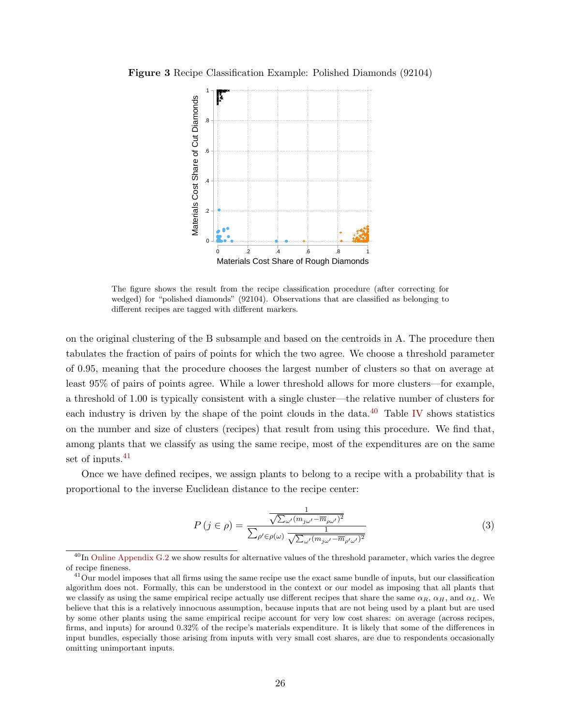Figure 3 Recipe Classification Example: Polished Diamonds (92104)



The figure shows the result from the recipe classification procedure (after correcting for wedged) for "polished diamonds" (92104). Observations that are classified as belonging to different recipes are tagged with different markers.

on the original clustering of the B subsample and based on the centroids in A. The procedure then tabulates the fraction of pairs of points for which the two agree. We choose a threshold parameter of 0.95, meaning that the procedure chooses the largest number of clusters so that on average at least 95% of pairs of points agree. While a lower threshold allows for more clusters—for example, a threshold of 1.00 is typically consistent with a single cluster—the relative number of clusters for each industry is driven by the shape of the point clouds in the data. $^{40}$  $^{40}$  $^{40}$  Table [IV](#page-25-0) shows statistics on the number and size of clusters (recipes) that result from using this procedure. We find that, among plants that we classify as using the same recipe, most of the expenditures are on the same set of inputs.<sup>[41](#page-26-1)</sup>

Once we have defined recipes, we assign plants to belong to a recipe with a probability that is proportional to the inverse Euclidean distance to the recipe center:

$$
P(j \in \rho) = \frac{\frac{1}{\sqrt{\sum_{\omega'} (m_{j\omega'} - \overline{m}_{\rho\omega'})^2}}}{\sum_{\rho' \in \rho(\omega)} \frac{1}{\sqrt{\sum_{\omega'} (m_{j\omega'} - \overline{m}_{\rho'\omega'})^2}}}
$$
(3)

<span id="page-26-0"></span> $^{40}$ In [Online Appendix G.2](#page-0-0) we show results for alternative values of the threshold parameter, which varies the degree of recipe fineness.

<span id="page-26-1"></span> $^{41}$ Our model imposes that all firms using the same recipe use the exact same bundle of inputs, but our classification algorithm does not. Formally, this can be understood in the context or our model as imposing that all plants that we classify as using the same empirical recipe actually use different recipes that share the same  $\alpha_R$ ,  $\alpha_H$ , and  $\alpha_L$ . We believe that this is a relatively innocuous assumption, because inputs that are not being used by a plant but are used by some other plants using the same empirical recipe account for very low cost shares: on average (across recipes, firms, and inputs) for around 0.32% of the recipe's materials expenditure. It is likely that some of the differences in input bundles, especially those arising from inputs with very small cost shares, are due to respondents occasionally omitting unimportant inputs.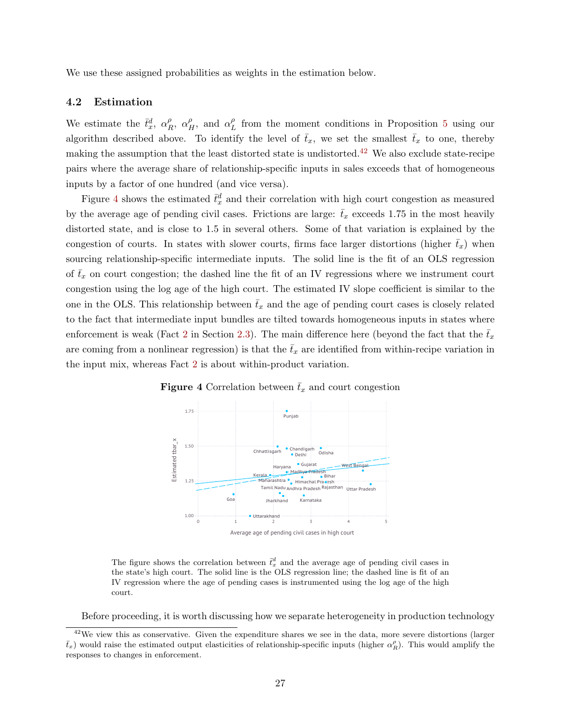We use these assigned probabilities as weights in the estimation below.

#### 4.2 Estimation

We estimate the  $\bar{t}_x^d$ ,  $\alpha_F^{\rho}$  $\alpha_H^{\rho}$ ,  $\alpha_H^{\rho}$ , and  $\alpha_L^{\rho}$  $L<sup>\rho</sup>$  from the moment conditions in Proposition [5](#page-22-1) using our algorithm described above. To identify the level of  $\bar{t}_x$ , we set the smallest  $\bar{t}_x$  to one, thereby making the assumption that the least distorted state is undistorted.[42](#page-27-0) We also exclude state-recipe pairs where the average share of relationship-specific inputs in sales exceeds that of homogeneous inputs by a factor of one hundred (and vice versa).

Figure [4](#page-27-1) shows the estimated  $\bar{t}_x^d$  and their correlation with high court congestion as measured by the average age of pending civil cases. Frictions are large:  $\bar{t}_x$  exceeds 1.75 in the most heavily distorted state, and is close to 1.5 in several others. Some of that variation is explained by the congestion of courts. In states with slower courts, firms face larger distortions (higher  $\bar{t}_x$ ) when sourcing relationship-specific intermediate inputs. The solid line is the fit of an OLS regression of  $\bar{t}_x$  on court congestion; the dashed line the fit of an IV regressions where we instrument court congestion using the log age of the high court. The estimated IV slope coefficient is similar to the one in the OLS. This relationship between  $\bar{t}_x$  and the age of pending court cases is closely related to the fact that intermediate input bundles are tilted towards homogeneous inputs in states where enforcement is weak (Fact [2](#page-9-1) in Section [2.3\)](#page-8-0). The main difference here (beyond the fact that the  $\bar{t}_x$ are coming from a nonlinear regression) is that the  $\bar{t}_x$  are identified from within-recipe variation in the input mix, whereas Fact [2](#page-9-1) is about within-product variation.

<span id="page-27-1"></span>

**Figure 4** Correlation between  $\bar{t}_x$  and court congestion

The figure shows the correlation between  $\bar{t}_x^d$  and the average age of pending civil cases in the state's high court. The solid line is the OLS regression line; the dashed line is fit of an IV regression where the age of pending cases is instrumented using the log age of the high court.

<span id="page-27-0"></span>Before proceeding, it is worth discussing how we separate heterogeneity in production technology

 $42$ We view this as conservative. Given the expenditure shares we see in the data, more severe distortions (larger  $\bar{t}_x$ ) would raise the estimated output elasticities of relationship-specific inputs (higher  $\alpha_R^{\rho}$ ). This would amplify the responses to changes in enforcement.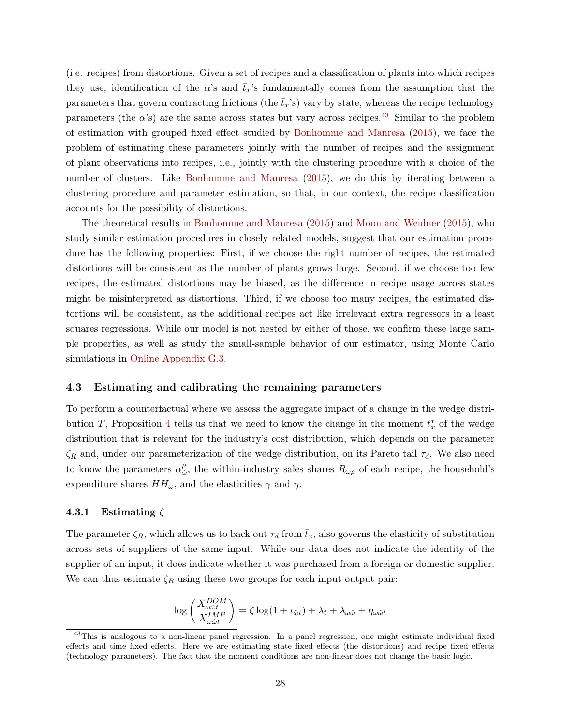(i.e. recipes) from distortions. Given a set of recipes and a classification of plants into which recipes they use, identification of the  $\alpha$ 's and  $\bar{t}_x$ 's fundamentally comes from the assumption that the parameters that govern contracting frictions (the  $\bar{t}_x$ 's) vary by state, whereas the recipe technology parameters (the  $\alpha$ 's) are the same across states but vary across recipes.<sup>[43](#page-28-0)</sup> Similar to the problem of estimation with grouped fixed effect studied by [Bonhomme and Manresa](#page-36-1) [\(2015\)](#page-36-1), we face the problem of estimating these parameters jointly with the number of recipes and the assignment of plant observations into recipes, i.e., jointly with the clustering procedure with a choice of the number of clusters. Like [Bonhomme and Manresa](#page-36-1) [\(2015\)](#page-36-1), we do this by iterating between a clustering procedure and parameter estimation, so that, in our context, the recipe classification accounts for the possibility of distortions.

The theoretical results in [Bonhomme and Manresa](#page-36-1) [\(2015\)](#page-36-1) and [Moon and Weidner](#page-37-0) [\(2015\)](#page-37-0), who study similar estimation procedures in closely related models, suggest that our estimation procedure has the following properties: First, if we choose the right number of recipes, the estimated distortions will be consistent as the number of plants grows large. Second, if we choose too few recipes, the estimated distortions may be biased, as the difference in recipe usage across states might be misinterpreted as distortions. Third, if we choose too many recipes, the estimated distortions will be consistent, as the additional recipes act like irrelevant extra regressors in a least squares regressions. While our model is not nested by either of those, we confirm these large sample properties, as well as study the small-sample behavior of our estimator, using Monte Carlo simulations in [Online Appendix G.3.](#page-0-0)

### 4.3 Estimating and calibrating the remaining parameters

To perform a counterfactual where we assess the aggregate impact of a change in the wedge distri-bution T, Proposition [4](#page-21-3) tells us that we need to know the change in the moment  $t^*_x$  of the wedge distribution that is relevant for the industry's cost distribution, which depends on the parameter  $\zeta_R$  and, under our parameterization of the wedge distribution, on its Pareto tail  $\tau_d$ . We also need to know the parameters  $\alpha_{\hat{c}}^{\rho}$  $\hat{\omega}$ , the within-industry sales shares  $R_{\omega\rho}$  of each recipe, the household's expenditure shares  $HH_{\omega}$ , and the elasticities  $\gamma$  and  $\eta$ .

### 4.3.1 Estimating  $\zeta$

The parameter  $\zeta_R$ , which allows us to back out  $\tau_d$  from  $\bar{t}_x$ , also governs the elasticity of substitution across sets of suppliers of the same input. While our data does not indicate the identity of the supplier of an input, it does indicate whether it was purchased from a foreign or domestic supplier. We can thus estimate  $\zeta_R$  using these two groups for each input-output pair:

$$
\log\left(\frac{X^{DOM}_{\omega\hat{\omega}t}}{X^{IMP}_{\omega\hat{\omega}t}}\right)=\zeta\log(1+\iota_{\hat{\omega}t})+\lambda_t+\lambda_{\omega\hat{\omega}}+\eta_{\omega\hat{\omega}t}
$$

<span id="page-28-0"></span><sup>&</sup>lt;sup>43</sup>This is analogous to a non-linear panel regression. In a panel regression, one might estimate individual fixed effects and time fixed effects. Here we are estimating state fixed effects (the distortions) and recipe fixed effects (technology parameters). The fact that the moment conditions are non-linear does not change the basic logic.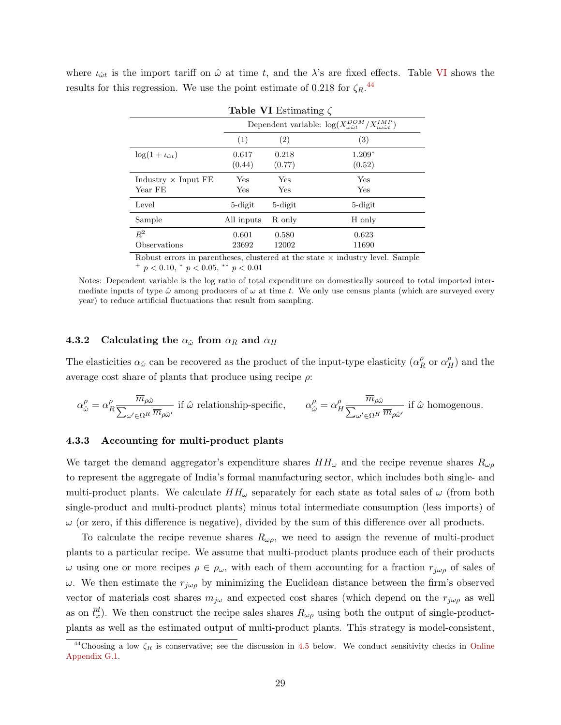<span id="page-29-1"></span>

| <b>Table VI</b> Estimating $\zeta$    |                 |                                                                                          |                       |  |  |  |
|---------------------------------------|-----------------|------------------------------------------------------------------------------------------|-----------------------|--|--|--|
|                                       |                 | Dependent variable: $\log(X_{\omega\hat{\omega}t}^{DOM}/X_{i\omega\hat{\omega}t}^{IMP})$ |                       |  |  |  |
|                                       | (1)             | (2)                                                                                      | (3)                   |  |  |  |
| $\log(1 + \iota_{\hat{\omega}t})$     | 0.617<br>(0.44) | 0.218<br>(0.77)                                                                          | $1.209*$<br>(0.52)    |  |  |  |
| Industry $\times$ Input FE<br>Year FE | Yes<br>Yes      | Yes<br>Yes                                                                               | Yes<br>Yes            |  |  |  |
| Level                                 | 5-digit         | 5-digit                                                                                  | 5-digit               |  |  |  |
| Sample                                | All inputs      | R only                                                                                   | H only                |  |  |  |
| $R^2$<br>Observations                 | 0.601<br>23692  | 0.580<br>12002<br>. .                                                                    | 0.623<br>11690<br>. . |  |  |  |

where  $\iota_{\hat{\omega}t}$  is the import tariff on  $\hat{\omega}$  at time t, and the  $\lambda$ 's are fixed effects. Table [VI](#page-29-1) shows the results for this regression. We use the point estimate of 0.218 for  $\zeta_R$ <sup>[44](#page-29-2)</sup>

> Robust errors in parentheses, clustered at the state  $\times$  industry level. Sample  $^{+}$   $p < 0.10, \, ^{*}$   $p < 0.05, \, ^{**}$   $p < 0.01$

Notes: Dependent variable is the log ratio of total expenditure on domestically sourced to total imported intermediate inputs of type  $\hat{\omega}$  among producers of  $\omega$  at time t. We only use census plants (which are surveyed every year) to reduce artificial fluctuations that result from sampling.

# 4.3.2 Calculating the  $\alpha_{\hat{\omega}}$  from  $\alpha_R$  and  $\alpha_H$

The elasticities  $\alpha_{\hat{\omega}}$  can be recovered as the product of the input-type elasticity  $(\alpha_{\hat{E}}^{\hat{\rho}})$  $R \nvert_R^{\rho}$  or  $\alpha_H^{\rho}$ ) and the average cost share of plants that produce using recipe  $\rho$ :

$$
\alpha_{\hat{\omega}}^{\rho} = \alpha_R^{\rho} \frac{\overline{m}_{\rho \hat{\omega}}}{\sum_{\omega' \in \Omega^R} \overline{m}_{\rho \hat{\omega}'}} \text{ if } \hat{\omega} \text{ relationship-specific}, \qquad \alpha_{\hat{\omega}}^{\rho} = \alpha_H^{\rho} \frac{\overline{m}_{\rho \hat{\omega}}}{\sum_{\omega' \in \Omega^H} \overline{m}_{\rho \hat{\omega}'}} \text{ if } \hat{\omega} \text{ homogeneous.}
$$

### <span id="page-29-0"></span>4.3.3 Accounting for multi-product plants

We target the demand aggregator's expenditure shares  $HH_{\omega}$  and the recipe revenue shares  $R_{\omega\rho}$ to represent the aggregate of India's formal manufacturing sector, which includes both single- and multi-product plants. We calculate  $HH_\omega$  separately for each state as total sales of  $\omega$  (from both single-product and multi-product plants) minus total intermediate consumption (less imports) of  $\omega$  (or zero, if this difference is negative), divided by the sum of this difference over all products.

To calculate the recipe revenue shares  $R_{\omega\rho}$ , we need to assign the revenue of multi-product plants to a particular recipe. We assume that multi-product plants produce each of their products  $ω$  using one or more recipes  $ρ ∈ ρω$ , with each of them accounting for a fraction  $r_jωρ$  of sales of ω. We then estimate the  $r_{j\omega\rho}$  by minimizing the Euclidean distance between the firm's observed vector of materials cost shares  $m_{j\omega}$  and expected cost shares (which depend on the  $r_{j\omega\rho}$  as well as on  $\bar{t}_x^d$ ). We then construct the recipe sales shares  $R_{\omega\rho}$  using both the output of single-productplants as well as the estimated output of multi-product plants. This strategy is model-consistent,

<span id="page-29-2"></span><sup>&</sup>lt;sup>44</sup>Choosing a low  $\zeta_R$  is conservative; see the discussion in [4.5](#page-30-0) below. We conduct sensitivity checks in [Online](#page-0-0) [Appendix G.1.](#page-0-0)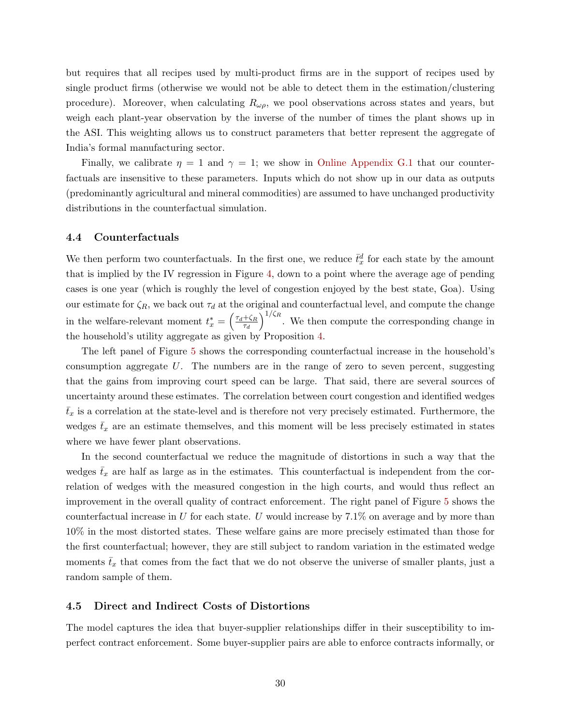but requires that all recipes used by multi-product firms are in the support of recipes used by single product firms (otherwise we would not be able to detect them in the estimation/clustering procedure). Moreover, when calculating  $R_{\omega\rho}$ , we pool observations across states and years, but weigh each plant-year observation by the inverse of the number of times the plant shows up in the ASI. This weighting allows us to construct parameters that better represent the aggregate of India's formal manufacturing sector.

Finally, we calibrate  $\eta = 1$  and  $\gamma = 1$ ; we show in [Online Appendix G.1](#page-0-0) that our counterfactuals are insensitive to these parameters. Inputs which do not show up in our data as outputs (predominantly agricultural and mineral commodities) are assumed to have unchanged productivity distributions in the counterfactual simulation.

### 4.4 Counterfactuals

We then perform two counterfactuals. In the first one, we reduce  $\bar{t}_x^d$  for each state by the amount that is implied by the IV regression in Figure [4,](#page-27-1) down to a point where the average age of pending cases is one year (which is roughly the level of congestion enjoyed by the best state, Goa). Using our estimate for  $\zeta_R$ , we back out  $\tau_d$  at the original and counterfactual level, and compute the change in the welfare-relevant moment  $t_x^* = \left(\frac{\tau_d + \zeta_R}{\tau_d}\right)$  $\tau_d$  $\int_{0}^{1/\zeta_R}$ . We then compute the corresponding change in the household's utility aggregate as given by Proposition [4.](#page-21-3)

The left panel of Figure [5](#page-31-0) shows the corresponding counterfactual increase in the household's consumption aggregate  $U$ . The numbers are in the range of zero to seven percent, suggesting that the gains from improving court speed can be large. That said, there are several sources of uncertainty around these estimates. The correlation between court congestion and identified wedges  $\bar{t}_x$  is a correlation at the state-level and is therefore not very precisely estimated. Furthermore, the wedges  $\bar{t}_x$  are an estimate themselves, and this moment will be less precisely estimated in states where we have fewer plant observations.

In the second counterfactual we reduce the magnitude of distortions in such a way that the wedges  $\bar{t}_x$  are half as large as in the estimates. This counterfactual is independent from the correlation of wedges with the measured congestion in the high courts, and would thus reflect an improvement in the overall quality of contract enforcement. The right panel of Figure [5](#page-31-0) shows the counterfactual increase in U for each state. U would increase by  $7.1\%$  on average and by more than 10% in the most distorted states. These welfare gains are more precisely estimated than those for the first counterfactual; however, they are still subject to random variation in the estimated wedge moments  $\bar{t}_x$  that comes from the fact that we do not observe the universe of smaller plants, just a random sample of them.

## <span id="page-30-0"></span>4.5 Direct and Indirect Costs of Distortions

The model captures the idea that buyer-supplier relationships differ in their susceptibility to imperfect contract enforcement. Some buyer-supplier pairs are able to enforce contracts informally, or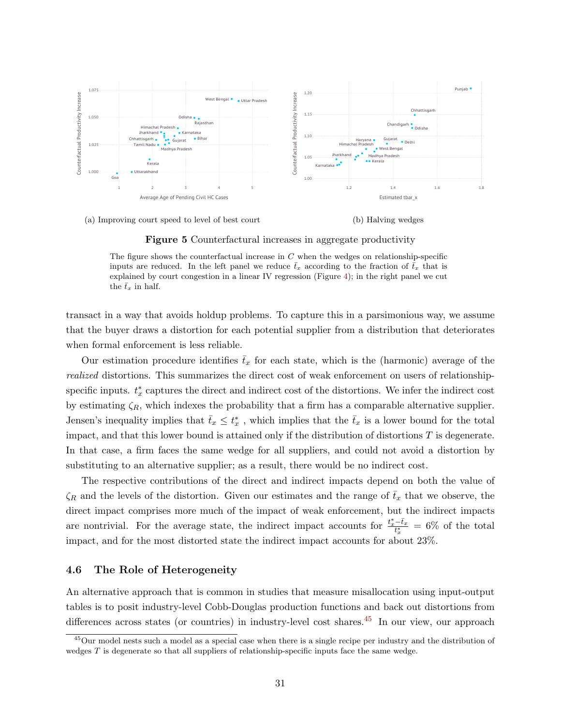

(a) Improving court speed to level of best court (b) Halving wedges

<span id="page-31-0"></span>Figure 5 Counterfactural increases in aggregate productivity

The figure shows the counterfactual increase in  $C$  when the wedges on relationship-specific inputs are reduced. In the left panel we reduce  $\bar{t}_x$  according to the fraction of  $\bar{t}_x$  that is explained by court congestion in a linear IV regression (Figure [4\)](#page-27-1); in the right panel we cut the  $\bar{t}_x$  in half.

transact in a way that avoids holdup problems. To capture this in a parsimonious way, we assume that the buyer draws a distortion for each potential supplier from a distribution that deteriorates when formal enforcement is less reliable.

Our estimation procedure identifies  $\bar{t}_x$  for each state, which is the (harmonic) average of the realized distortions. This summarizes the direct cost of weak enforcement on users of relationshipspecific inputs.  $t_x^*$  captures the direct and indirect cost of the distortions. We infer the indirect cost by estimating  $\zeta_R$ , which indexes the probability that a firm has a comparable alternative supplier. Jensen's inequality implies that  $\bar{t}_x \leq t_x^*$ , which implies that the  $\bar{t}_x$  is a lower bound for the total impact, and that this lower bound is attained only if the distribution of distortions  $T$  is degenerate. In that case, a firm faces the same wedge for all suppliers, and could not avoid a distortion by substituting to an alternative supplier; as a result, there would be no indirect cost.

The respective contributions of the direct and indirect impacts depend on both the value of  $\zeta_R$  and the levels of the distortion. Given our estimates and the range of  $t_x$  that we observe, the direct impact comprises more much of the impact of weak enforcement, but the indirect impacts are nontrivial. For the average state, the indirect impact accounts for  $\frac{t_x^* - \bar{t}_x}{t_x^*} = 6\%$  of the total impact, and for the most distorted state the indirect impact accounts for about 23%.

## 4.6 The Role of Heterogeneity

An alternative approach that is common in studies that measure misallocation using input-output tables is to posit industry-level Cobb-Douglas production functions and back out distortions from differences across states (or countries) in industry-level cost shares.<sup>[45](#page-31-1)</sup> In our view, our approach

<span id="page-31-1"></span><sup>&</sup>lt;sup>45</sup>Our model nests such a model as a special case when there is a single recipe per industry and the distribution of wedges  $T$  is degenerate so that all suppliers of relationship-specific inputs face the same wedge.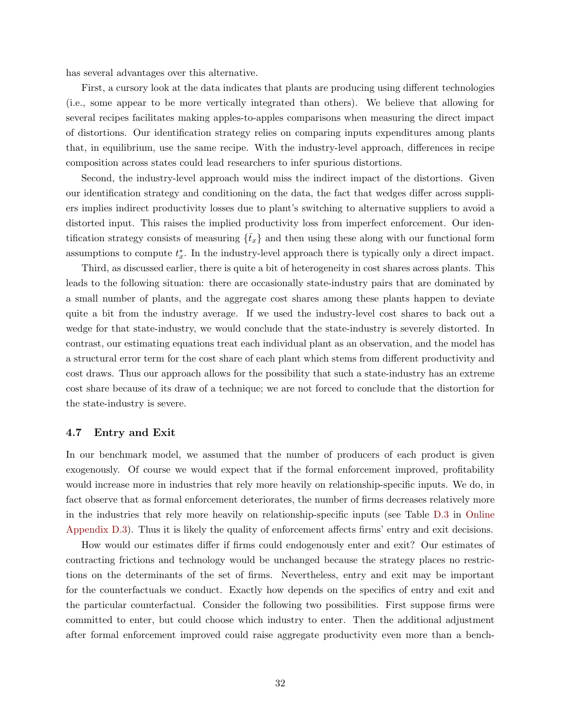has several advantages over this alternative.

First, a cursory look at the data indicates that plants are producing using different technologies (i.e., some appear to be more vertically integrated than others). We believe that allowing for several recipes facilitates making apples-to-apples comparisons when measuring the direct impact of distortions. Our identification strategy relies on comparing inputs expenditures among plants that, in equilibrium, use the same recipe. With the industry-level approach, differences in recipe composition across states could lead researchers to infer spurious distortions.

Second, the industry-level approach would miss the indirect impact of the distortions. Given our identification strategy and conditioning on the data, the fact that wedges differ across suppliers implies indirect productivity losses due to plant's switching to alternative suppliers to avoid a distorted input. This raises the implied productivity loss from imperfect enforcement. Our identification strategy consists of measuring  $\{\bar{t}_x\}$  and then using these along with our functional form assumptions to compute  $t_x^*$ . In the industry-level approach there is typically only a direct impact.

Third, as discussed earlier, there is quite a bit of heterogeneity in cost shares across plants. This leads to the following situation: there are occasionally state-industry pairs that are dominated by a small number of plants, and the aggregate cost shares among these plants happen to deviate quite a bit from the industry average. If we used the industry-level cost shares to back out a wedge for that state-industry, we would conclude that the state-industry is severely distorted. In contrast, our estimating equations treat each individual plant as an observation, and the model has a structural error term for the cost share of each plant which stems from different productivity and cost draws. Thus our approach allows for the possibility that such a state-industry has an extreme cost share because of its draw of a technique; we are not forced to conclude that the distortion for the state-industry is severe.

## 4.7 Entry and Exit

In our benchmark model, we assumed that the number of producers of each product is given exogenously. Of course we would expect that if the formal enforcement improved, profitability would increase more in industries that rely more heavily on relationship-specific inputs. We do, in fact observe that as formal enforcement deteriorates, the number of firms decreases relatively more in the industries that rely more heavily on relationship-specific inputs (see Table [D.3](#page-0-0) in [Online](#page-0-0) [Appendix D.3\)](#page-0-0). Thus it is likely the quality of enforcement affects firms' entry and exit decisions.

How would our estimates differ if firms could endogenously enter and exit? Our estimates of contracting frictions and technology would be unchanged because the strategy places no restrictions on the determinants of the set of firms. Nevertheless, entry and exit may be important for the counterfactuals we conduct. Exactly how depends on the specifics of entry and exit and the particular counterfactual. Consider the following two possibilities. First suppose firms were committed to enter, but could choose which industry to enter. Then the additional adjustment after formal enforcement improved could raise aggregate productivity even more than a bench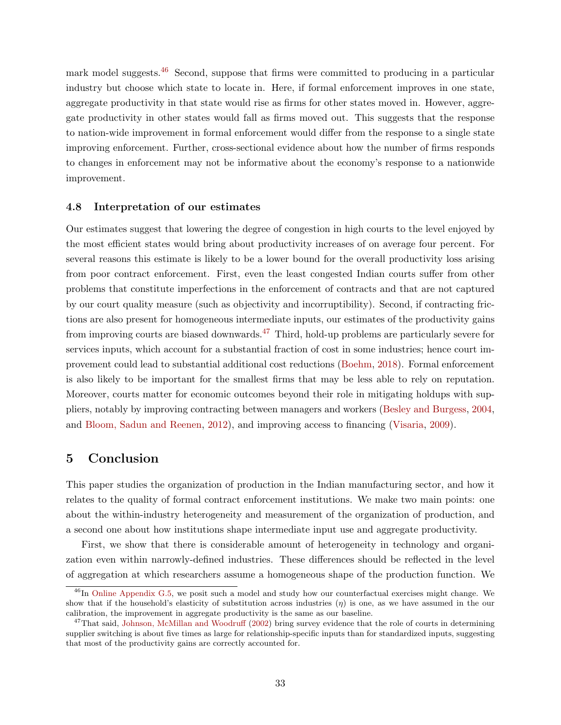mark model suggests.<sup>[46](#page-33-0)</sup> Second, suppose that firms were committed to producing in a particular industry but choose which state to locate in. Here, if formal enforcement improves in one state, aggregate productivity in that state would rise as firms for other states moved in. However, aggregate productivity in other states would fall as firms moved out. This suggests that the response to nation-wide improvement in formal enforcement would differ from the response to a single state improving enforcement. Further, cross-sectional evidence about how the number of firms responds to changes in enforcement may not be informative about the economy's response to a nationwide improvement.

### 4.8 Interpretation of our estimates

Our estimates suggest that lowering the degree of congestion in high courts to the level enjoyed by the most efficient states would bring about productivity increases of on average four percent. For several reasons this estimate is likely to be a lower bound for the overall productivity loss arising from poor contract enforcement. First, even the least congested Indian courts suffer from other problems that constitute imperfections in the enforcement of contracts and that are not captured by our court quality measure (such as objectivity and incorruptibility). Second, if contracting frictions are also present for homogeneous intermediate inputs, our estimates of the productivity gains from improving courts are biased downwards.<sup>[47](#page-33-1)</sup> Third, hold-up problems are particularly severe for services inputs, which account for a substantial fraction of cost in some industries; hence court improvement could lead to substantial additional cost reductions [\(Boehm,](#page-35-5) [2018\)](#page-35-5). Formal enforcement is also likely to be important for the smallest firms that may be less able to rely on reputation. Moreover, courts matter for economic outcomes beyond their role in mitigating holdups with suppliers, notably by improving contracting between managers and workers [\(Besley and Burgess,](#page-35-15) [2004,](#page-35-15) and [Bloom, Sadun and Reenen,](#page-35-16) [2012\)](#page-35-16), and improving access to financing [\(Visaria,](#page-38-12) [2009\)](#page-38-12).

# 5 Conclusion

This paper studies the organization of production in the Indian manufacturing sector, and how it relates to the quality of formal contract enforcement institutions. We make two main points: one about the within-industry heterogeneity and measurement of the organization of production, and a second one about how institutions shape intermediate input use and aggregate productivity.

First, we show that there is considerable amount of heterogeneity in technology and organization even within narrowly-defined industries. These differences should be reflected in the level of aggregation at which researchers assume a homogeneous shape of the production function. We

<span id="page-33-0"></span><sup>&</sup>lt;sup>46</sup>In [Online Appendix G.5,](#page-0-0) we posit such a model and study how our counterfactual exercises might change. We show that if the household's elasticity of substitution across industries  $(\eta)$  is one, as we have assumed in the our calibration, the improvement in aggregate productivity is the same as our baseline.

<span id="page-33-1"></span> $^{47}$ That said, [Johnson, McMillan and Woodruff](#page-37-12) [\(2002\)](#page-37-12) bring survey evidence that the role of courts in determining supplier switching is about five times as large for relationship-specific inputs than for standardized inputs, suggesting that most of the productivity gains are correctly accounted for.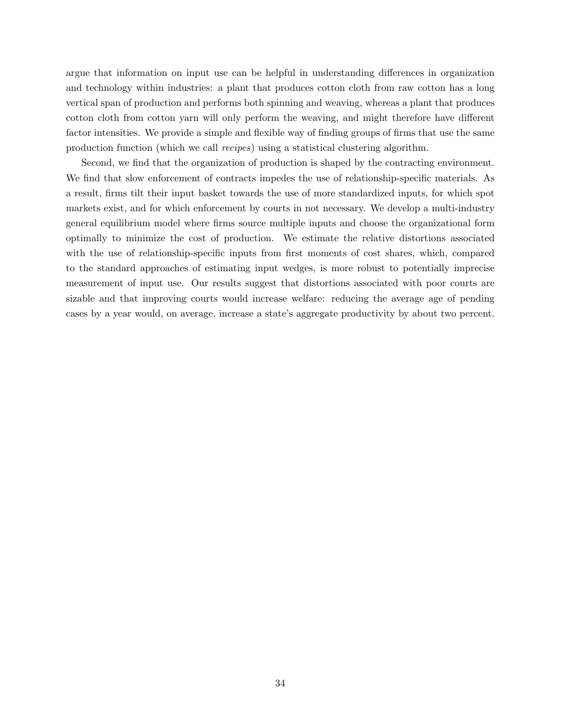argue that information on input use can be helpful in understanding differences in organization and technology within industries: a plant that produces cotton cloth from raw cotton has a long vertical span of production and performs both spinning and weaving, whereas a plant that produces cotton cloth from cotton yarn will only perform the weaving, and might therefore have different factor intensities. We provide a simple and flexible way of finding groups of firms that use the same production function (which we call recipes) using a statistical clustering algorithm.

Second, we find that the organization of production is shaped by the contracting environment. We find that slow enforcement of contracts impedes the use of relationship-specific materials. As a result, firms tilt their input basket towards the use of more standardized inputs, for which spot markets exist, and for which enforcement by courts in not necessary. We develop a multi-industry general equilibrium model where firms source multiple inputs and choose the organizational form optimally to minimize the cost of production. We estimate the relative distortions associated with the use of relationship-specific inputs from first moments of cost shares, which, compared to the standard approaches of estimating input wedges, is more robust to potentially imprecise measurement of input use. Our results suggest that distortions associated with poor courts are sizable and that improving courts would increase welfare: reducing the average age of pending cases by a year would, on average, increase a state's aggregate productivity by about two percent.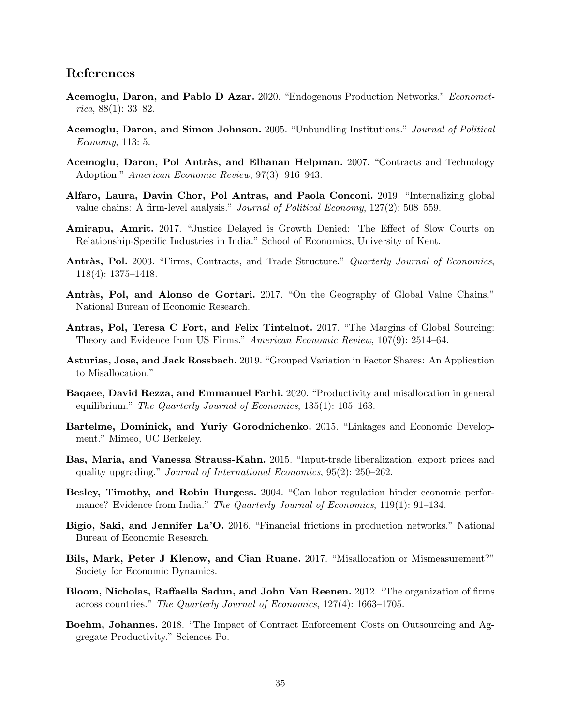# References

- <span id="page-35-0"></span>Acemoglu, Daron, and Pablo D Azar. 2020. "Endogenous Production Networks." Econometrica, 88(1): 33–82.
- <span id="page-35-8"></span>Acemoglu, Daron, and Simon Johnson. 2005. "Unbundling Institutions." Journal of Political Economy, 113: 5.
- <span id="page-35-9"></span>Acemoglu, Daron, Pol Antràs, and Elhanan Helpman. 2007. "Contracts and Technology Adoption." American Economic Review, 97(3): 916–943.
- <span id="page-35-13"></span>Alfaro, Laura, Davin Chor, Pol Antras, and Paola Conconi. 2019. "Internalizing global value chains: A firm-level analysis." Journal of Political Economy, 127(2): 508–559.
- <span id="page-35-10"></span>Amirapu, Amrit. 2017. "Justice Delayed is Growth Denied: The Effect of Slow Courts on Relationship-Specific Industries in India." School of Economics, University of Kent.
- <span id="page-35-14"></span>Antràs, Pol. 2003. "Firms, Contracts, and Trade Structure." Quarterly Journal of Economics, 118(4): 1375–1418.
- <span id="page-35-2"></span>Antràs, Pol, and Alonso de Gortari. 2017. "On the Geography of Global Value Chains." National Bureau of Economic Research.
- <span id="page-35-3"></span>Antras, Pol, Teresa C Fort, and Felix Tintelnot. 2017. "The Margins of Global Sourcing: Theory and Evidence from US Firms." American Economic Review, 107(9): 2514–64.
- <span id="page-35-11"></span>Asturias, Jose, and Jack Rossbach. 2019. "Grouped Variation in Factor Shares: An Application to Misallocation."
- <span id="page-35-7"></span>Baqaee, David Rezza, and Emmanuel Farhi. 2020. "Productivity and misallocation in general equilibrium." The Quarterly Journal of Economics, 135(1): 105–163.
- <span id="page-35-4"></span>Bartelme, Dominick, and Yuriy Gorodnichenko. 2015. "Linkages and Economic Development." Mimeo, UC Berkeley.
- <span id="page-35-1"></span>Bas, Maria, and Vanessa Strauss-Kahn. 2015. "Input-trade liberalization, export prices and quality upgrading." Journal of International Economics, 95(2): 250–262.
- <span id="page-35-15"></span>Besley, Timothy, and Robin Burgess. 2004. "Can labor regulation hinder economic performance? Evidence from India." The Quarterly Journal of Economics, 119(1): 91–134.
- <span id="page-35-6"></span>Bigio, Saki, and Jennifer La'O. 2016. "Financial frictions in production networks." National Bureau of Economic Research.
- <span id="page-35-12"></span>Bils, Mark, Peter J Klenow, and Cian Ruane. 2017. "Misallocation or Mismeasurement?" Society for Economic Dynamics.
- <span id="page-35-16"></span>Bloom, Nicholas, Raffaella Sadun, and John Van Reenen. 2012. "The organization of firms across countries." The Quarterly Journal of Economics, 127(4): 1663–1705.
- <span id="page-35-5"></span>Boehm, Johannes. 2018. "The Impact of Contract Enforcement Costs on Outsourcing and Aggregate Productivity." Sciences Po.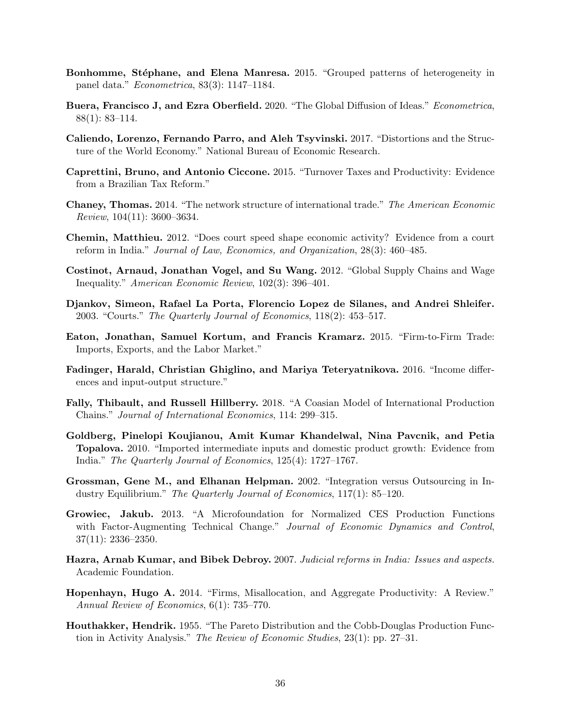- <span id="page-36-1"></span>Bonhomme, Stéphane, and Elena Manresa. 2015. "Grouped patterns of heterogeneity in panel data." Econometrica, 83(3): 1147–1184.
- <span id="page-36-15"></span>Buera, Francisco J, and Ezra Oberfield. 2020. "The Global Diffusion of Ideas." Econometrica, 88(1): 83–114.
- <span id="page-36-11"></span>Caliendo, Lorenzo, Fernando Parro, and Aleh Tsyvinski. 2017. "Distortions and the Structure of the World Economy." National Bureau of Economic Research.
- <span id="page-36-10"></span>Caprettini, Bruno, and Antonio Ciccone. 2015. "Turnover Taxes and Productivity: Evidence from a Brazilian Tax Reform."
- <span id="page-36-3"></span>Chaney, Thomas. 2014. "The network structure of international trade." The American Economic Review, 104(11): 3600–3634.
- <span id="page-36-13"></span>Chemin, Matthieu. 2012. "Does court speed shape economic activity? Evidence from a court reform in India." Journal of Law, Economics, and Organization, 28(3): 460–485.
- <span id="page-36-6"></span>Costinot, Arnaud, Jonathan Vogel, and Su Wang. 2012. "Global Supply Chains and Wage Inequality." American Economic Review, 102(3): 396–401.
- <span id="page-36-12"></span>Djankov, Simeon, Rafael La Porta, Florencio Lopez de Silanes, and Andrei Shleifer. 2003. "Courts." The Quarterly Journal of Economics, 118(2): 453–517.
- <span id="page-36-2"></span>Eaton, Jonathan, Samuel Kortum, and Francis Kramarz. 2015. "Firm-to-Firm Trade: Imports, Exports, and the Labor Market."
- <span id="page-36-9"></span>Fadinger, Harald, Christian Ghiglino, and Mariya Teteryatnikova. 2016. "Income differences and input-output structure."
- <span id="page-36-7"></span>Fally, Thibault, and Russell Hillberry. 2018. "A Coasian Model of International Production Chains." Journal of International Economics, 114: 299–315.
- <span id="page-36-4"></span>Goldberg, Pinelopi Koujianou, Amit Kumar Khandelwal, Nina Pavcnik, and Petia Topalova. 2010. "Imported intermediate inputs and domestic product growth: Evidence from India." The Quarterly Journal of Economics, 125(4): 1727–1767.
- <span id="page-36-5"></span>Grossman, Gene M., and Elhanan Helpman. 2002. "Integration versus Outsourcing in Industry Equilibrium." The Quarterly Journal of Economics, 117(1): 85–120.
- <span id="page-36-16"></span>Growiec, Jakub. 2013. "A Microfoundation for Normalized CES Production Functions with Factor-Augmenting Technical Change." Journal of Economic Dynamics and Control, 37(11): 2336–2350.
- <span id="page-36-14"></span>Hazra, Arnab Kumar, and Bibek Debroy. 2007. Judicial reforms in India: Issues and aspects. Academic Foundation.
- <span id="page-36-8"></span>Hopenhayn, Hugo A. 2014. "Firms, Misallocation, and Aggregate Productivity: A Review." Annual Review of Economics, 6(1): 735–770.
- <span id="page-36-0"></span>Houthakker, Hendrik. 1955. "The Pareto Distribution and the Cobb-Douglas Production Function in Activity Analysis." The Review of Economic Studies, 23(1): pp. 27–31.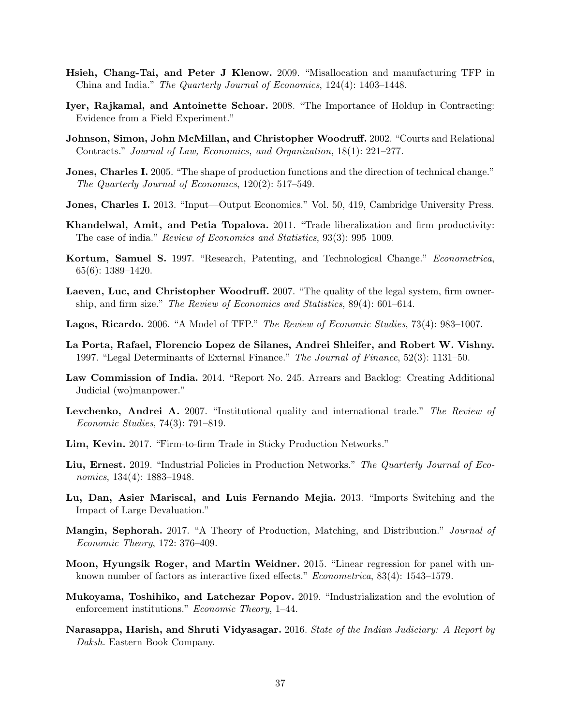- <span id="page-37-5"></span>Hsieh, Chang-Tai, and Peter J Klenow. 2009. "Misallocation and manufacturing TFP in China and India." The Quarterly Journal of Economics, 124(4): 1403–1448.
- <span id="page-37-13"></span>Iyer, Rajkamal, and Antoinette Schoar. 2008. "The Importance of Holdup in Contracting: Evidence from a Field Experiment."
- <span id="page-37-12"></span>Johnson, Simon, John McMillan, and Christopher Woodruff. 2002. "Courts and Relational Contracts." Journal of Law, Economics, and Organization, 18(1): 221–277.
- <span id="page-37-3"></span>Jones, Charles I. 2005. "The shape of production functions and the direction of technical change." The Quarterly Journal of Economics, 120(2): 517–549.
- <span id="page-37-6"></span>Jones, Charles I. 2013. "Input—Output Economics." Vol. 50, 419, Cambridge University Press.
- <span id="page-37-4"></span>Khandelwal, Amit, and Petia Topalova. 2011. "Trade liberalization and firm productivity: The case of india." Review of Economics and Statistics, 93(3): 995–1009.
- <span id="page-37-16"></span>Kortum, Samuel S. 1997. "Research, Patenting, and Technological Change." Econometrica, 65(6): 1389–1420.
- <span id="page-37-10"></span>Laeven, Luc, and Christopher Woodruff. 2007. "The quality of the legal system, firm ownership, and firm size." The Review of Economics and Statistics, 89(4): 601–614.
- <span id="page-37-17"></span>Lagos, Ricardo. 2006. "A Model of TFP." The Review of Economic Studies, 73(4): 983–1007.
- <span id="page-37-8"></span>La Porta, Rafael, Florencio Lopez de Silanes, Andrei Shleifer, and Robert W. Vishny. 1997. "Legal Determinants of External Finance." The Journal of Finance, 52(3): 1131–50.
- <span id="page-37-15"></span>Law Commission of India. 2014. "Report No. 245. Arrears and Backlog: Creating Additional Judicial (wo)manpower."
- <span id="page-37-9"></span>Levchenko, Andrei A. 2007. "Institutional quality and international trade." The Review of Economic Studies, 74(3): 791–819.
- <span id="page-37-1"></span>Lim, Kevin. 2017. "Firm-to-firm Trade in Sticky Production Networks."
- <span id="page-37-7"></span>Liu, Ernest. 2019. "Industrial Policies in Production Networks." The Quarterly Journal of Economics, 134(4): 1883–1948.
- <span id="page-37-2"></span>Lu, Dan, Asier Mariscal, and Luis Fernando Mejia. 2013. "Imports Switching and the Impact of Large Devaluation."
- <span id="page-37-18"></span>Mangin, Sephorah. 2017. "A Theory of Production, Matching, and Distribution." Journal of Economic Theory, 172: 376–409.
- <span id="page-37-0"></span>Moon, Hyungsik Roger, and Martin Weidner. 2015. "Linear regression for panel with unknown number of factors as interactive fixed effects." Econometrica, 83(4): 1543–1579.
- <span id="page-37-11"></span>Mukoyama, Toshihiko, and Latchezar Popov. 2019. "Industrialization and the evolution of enforcement institutions." Economic Theory, 1–44.
- <span id="page-37-14"></span>Narasappa, Harish, and Shruti Vidyasagar. 2016. State of the Indian Judiciary: A Report by Daksh. Eastern Book Company.